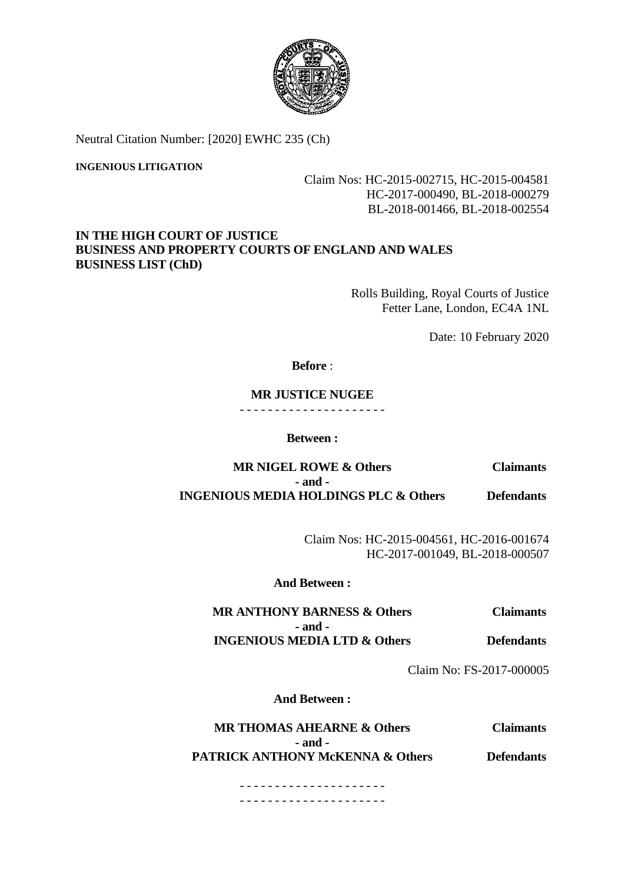

Neutral Citation Number: [2020] EWHC 235 (Ch)

#### **INGENIOUS LITIGATION**

# Claim Nos: HC-2015-002715, HC-2015-004581 HC-2017-000490, BL-2018-000279 BL-2018-001466, BL-2018-002554

# **IN THE HIGH COURT OF JUSTICE BUSINESS AND PROPERTY COURTS OF ENGLAND AND WALES BUSINESS LIST (ChD)**

Rolls Building, Royal Courts of Justice Fetter Lane, London, EC4A 1NL

Date: 10 February 2020

## **Before** :

# **MR JUSTICE NUGEE**

- - - - - - - - - - - - - - - - - - - - -

#### **Between :**

**MR NIGEL ROWE & Others Claimants - and - INGENIOUS MEDIA HOLDINGS PLC & Others Defendants**

> Claim Nos: HC-2015-004561, HC-2016-001674 HC-2017-001049, BL-2018-000507

## **And Between :**

**MR ANTHONY BARNESS & Others Claimants - and - INGENIOUS MEDIA LTD & Others Defendants**

Claim No: FS-2017-000005

**And Between :**

**MR THOMAS AHEARNE & Others Claimants - and - PATRICK ANTHONY McKENNA & Others Defendants** 

> - - - - - - - - - - - - - - - - - - - - - - - - - - - - - - - - - - - - - - - - - -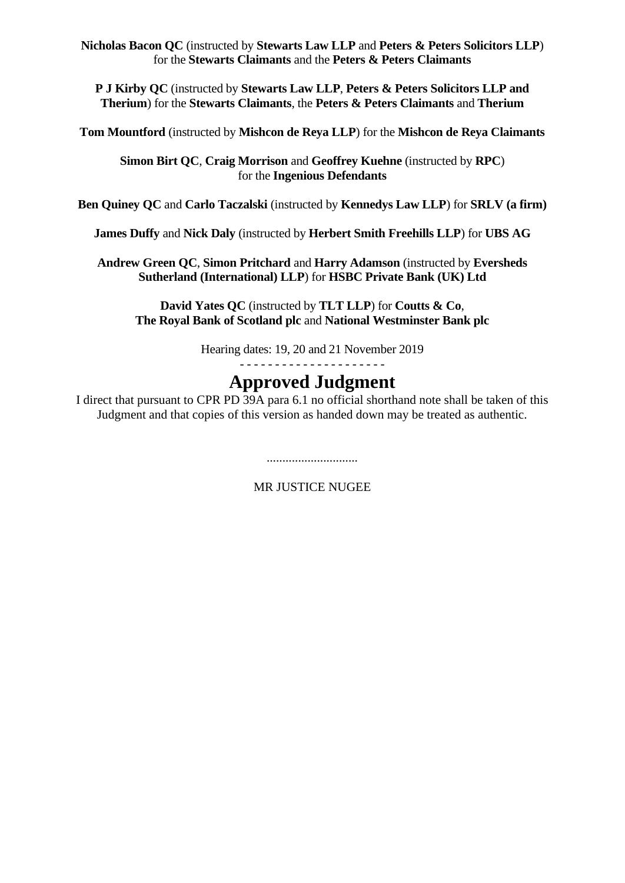**Nicholas Bacon QC** (instructed by **Stewarts Law LLP** and **Peters & Peters Solicitors LLP**) for the **Stewarts Claimants** and the **Peters & Peters Claimants** 

**P J Kirby QC** (instructed by **Stewarts Law LLP**, **Peters & Peters Solicitors LLP and Therium**) for the **Stewarts Claimants**, the **Peters & Peters Claimants** and **Therium** 

**Tom Mountford** (instructed by **Mishcon de Reya LLP**) for the **Mishcon de Reya Claimants**

**Simon Birt QC**, **Craig Morrison** and **Geoffrey Kuehne** (instructed by **RPC**) for the **Ingenious Defendants**

**Ben Quiney QC** and **Carlo Taczalski** (instructed by **Kennedys Law LLP**) for **SRLV (a firm)**

**James Duffy** and **Nick Daly** (instructed by **Herbert Smith Freehills LLP**) for **UBS AG**

**Andrew Green QC**, **Simon Pritchard** and **Harry Adamson** (instructed by **Eversheds Sutherland (International) LLP**) for **HSBC Private Bank (UK) Ltd**

**David Yates QC** (instructed by **TLT LLP**) for **Coutts & Co**, **The Royal Bank of Scotland plc** and **National Westminster Bank plc**

Hearing dates: 19, 20 and 21 November 2019

- - - - - - - - - - - - - - - - - - - - -

# **Approved Judgment**

I direct that pursuant to CPR PD 39A para 6.1 no official shorthand note shall be taken of this Judgment and that copies of this version as handed down may be treated as authentic.

.............................

MR JUSTICE NUGEE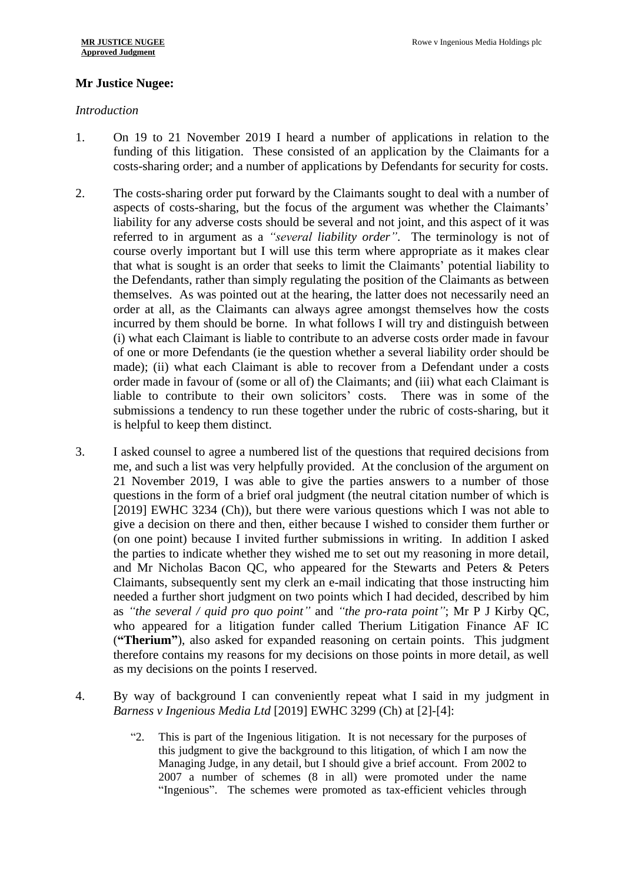# **Mr Justice Nugee:**

## *Introduction*

- 1. On 19 to 21 November 2019 I heard a number of applications in relation to the funding of this litigation. These consisted of an application by the Claimants for a costs-sharing order; and a number of applications by Defendants for security for costs.
- 2. The costs-sharing order put forward by the Claimants sought to deal with a number of aspects of costs-sharing, but the focus of the argument was whether the Claimants' liability for any adverse costs should be several and not joint, and this aspect of it was referred to in argument as a *"several liability order"*. The terminology is not of course overly important but I will use this term where appropriate as it makes clear that what is sought is an order that seeks to limit the Claimants' potential liability to the Defendants, rather than simply regulating the position of the Claimants as between themselves. As was pointed out at the hearing, the latter does not necessarily need an order at all, as the Claimants can always agree amongst themselves how the costs incurred by them should be borne. In what follows I will try and distinguish between (i) what each Claimant is liable to contribute to an adverse costs order made in favour of one or more Defendants (ie the question whether a several liability order should be made); (ii) what each Claimant is able to recover from a Defendant under a costs order made in favour of (some or all of) the Claimants; and (iii) what each Claimant is liable to contribute to their own solicitors' costs. There was in some of the submissions a tendency to run these together under the rubric of costs-sharing, but it is helpful to keep them distinct.
- 3. I asked counsel to agree a numbered list of the questions that required decisions from me, and such a list was very helpfully provided. At the conclusion of the argument on 21 November 2019, I was able to give the parties answers to a number of those questions in the form of a brief oral judgment (the neutral citation number of which is [2019] EWHC 3234 (Ch)), but there were various questions which I was not able to give a decision on there and then, either because I wished to consider them further or (on one point) because I invited further submissions in writing. In addition I asked the parties to indicate whether they wished me to set out my reasoning in more detail, and Mr Nicholas Bacon QC, who appeared for the Stewarts and Peters & Peters Claimants, subsequently sent my clerk an e-mail indicating that those instructing him needed a further short judgment on two points which I had decided, described by him as *"the several / quid pro quo point"* and *"the pro-rata point"*; Mr P J Kirby QC, who appeared for a litigation funder called Therium Litigation Finance AF IC (**"Therium"**), also asked for expanded reasoning on certain points. This judgment therefore contains my reasons for my decisions on those points in more detail, as well as my decisions on the points I reserved.
- 4. By way of background I can conveniently repeat what I said in my judgment in *Barness v Ingenious Media Ltd* [2019] EWHC 3299 (Ch) at [2]-[4]:
	- "2. This is part of the Ingenious litigation. It is not necessary for the purposes of this judgment to give the background to this litigation, of which I am now the Managing Judge, in any detail, but I should give a brief account. From 2002 to 2007 a number of schemes (8 in all) were promoted under the name "Ingenious". The schemes were promoted as tax-efficient vehicles through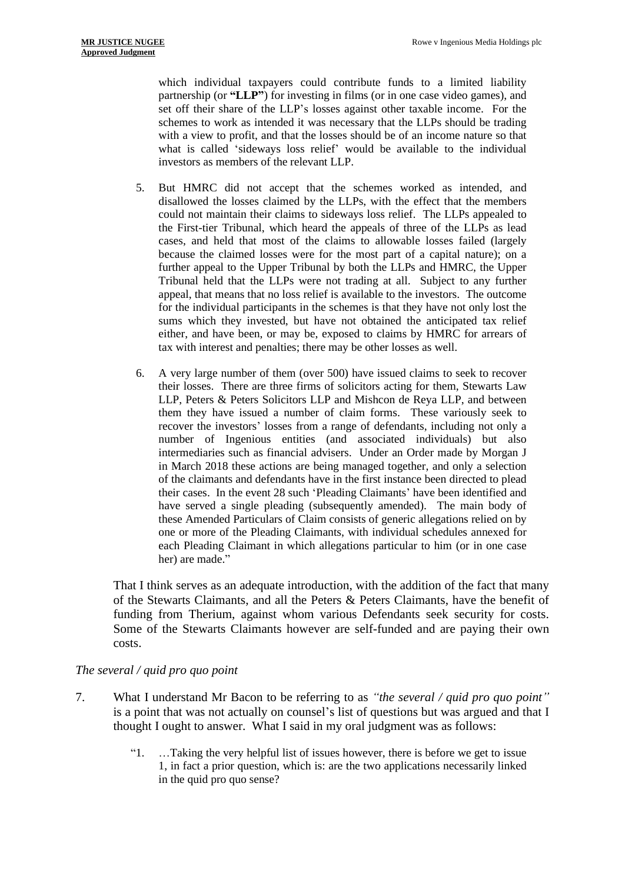which individual taxpayers could contribute funds to a limited liability partnership (or **"LLP"**) for investing in films (or in one case video games), and set off their share of the LLP's losses against other taxable income. For the schemes to work as intended it was necessary that the LLPs should be trading with a view to profit, and that the losses should be of an income nature so that what is called 'sideways loss relief' would be available to the individual investors as members of the relevant LLP.

- 5. But HMRC did not accept that the schemes worked as intended, and disallowed the losses claimed by the LLPs, with the effect that the members could not maintain their claims to sideways loss relief. The LLPs appealed to the First-tier Tribunal, which heard the appeals of three of the LLPs as lead cases, and held that most of the claims to allowable losses failed (largely because the claimed losses were for the most part of a capital nature); on a further appeal to the Upper Tribunal by both the LLPs and HMRC, the Upper Tribunal held that the LLPs were not trading at all. Subject to any further appeal, that means that no loss relief is available to the investors. The outcome for the individual participants in the schemes is that they have not only lost the sums which they invested, but have not obtained the anticipated tax relief either, and have been, or may be, exposed to claims by HMRC for arrears of tax with interest and penalties; there may be other losses as well.
- 6. A very large number of them (over 500) have issued claims to seek to recover their losses. There are three firms of solicitors acting for them, Stewarts Law LLP, Peters & Peters Solicitors LLP and Mishcon de Reya LLP, and between them they have issued a number of claim forms. These variously seek to recover the investors' losses from a range of defendants, including not only a number of Ingenious entities (and associated individuals) but also intermediaries such as financial advisers. Under an Order made by Morgan J in March 2018 these actions are being managed together, and only a selection of the claimants and defendants have in the first instance been directed to plead their cases. In the event 28 such 'Pleading Claimants' have been identified and have served a single pleading (subsequently amended). The main body of these Amended Particulars of Claim consists of generic allegations relied on by one or more of the Pleading Claimants, with individual schedules annexed for each Pleading Claimant in which allegations particular to him (or in one case her) are made."

That I think serves as an adequate introduction, with the addition of the fact that many of the Stewarts Claimants, and all the Peters & Peters Claimants, have the benefit of funding from Therium, against whom various Defendants seek security for costs. Some of the Stewarts Claimants however are self-funded and are paying their own costs.

## *The several / quid pro quo point*

- 7. What I understand Mr Bacon to be referring to as *"the several / quid pro quo point"* is a point that was not actually on counsel's list of questions but was argued and that I thought I ought to answer. What I said in my oral judgment was as follows:
	- "1. …Taking the very helpful list of issues however, there is before we get to issue 1, in fact a prior question, which is: are the two applications necessarily linked in the quid pro quo sense?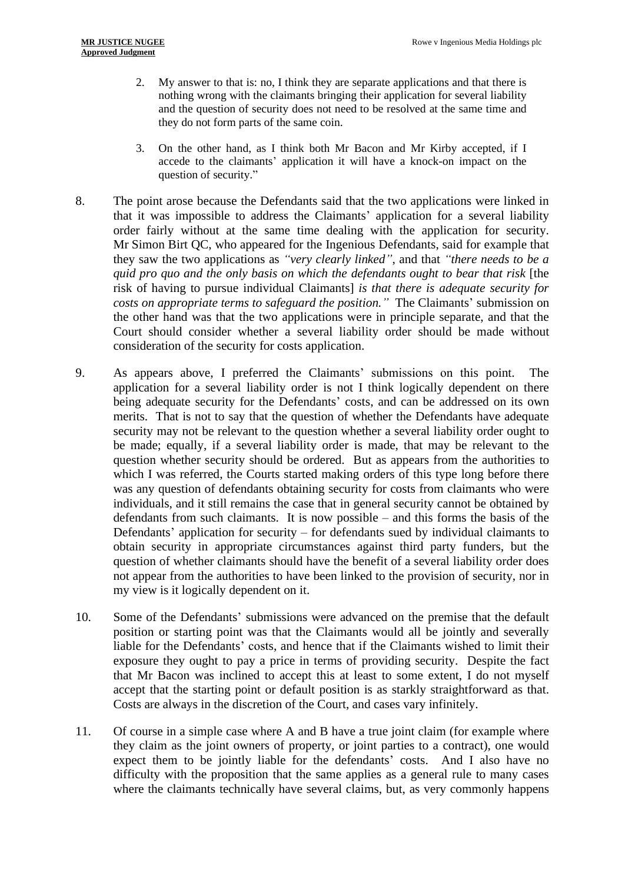- 2. My answer to that is: no, I think they are separate applications and that there is nothing wrong with the claimants bringing their application for several liability and the question of security does not need to be resolved at the same time and they do not form parts of the same coin.
- 3. On the other hand, as I think both Mr Bacon and Mr Kirby accepted, if I accede to the claimants' application it will have a knock-on impact on the question of security."
- 8. The point arose because the Defendants said that the two applications were linked in that it was impossible to address the Claimants' application for a several liability order fairly without at the same time dealing with the application for security. Mr Simon Birt QC, who appeared for the Ingenious Defendants, said for example that they saw the two applications as *"very clearly linked"*, and that *"there needs to be a quid pro quo and the only basis on which the defendants ought to bear that risk* [the risk of having to pursue individual Claimants] *is that there is adequate security for costs on appropriate terms to safeguard the position."* The Claimants' submission on the other hand was that the two applications were in principle separate, and that the Court should consider whether a several liability order should be made without consideration of the security for costs application.
- 9. As appears above, I preferred the Claimants' submissions on this point. The application for a several liability order is not I think logically dependent on there being adequate security for the Defendants' costs, and can be addressed on its own merits. That is not to say that the question of whether the Defendants have adequate security may not be relevant to the question whether a several liability order ought to be made; equally, if a several liability order is made, that may be relevant to the question whether security should be ordered. But as appears from the authorities to which I was referred, the Courts started making orders of this type long before there was any question of defendants obtaining security for costs from claimants who were individuals, and it still remains the case that in general security cannot be obtained by defendants from such claimants. It is now possible – and this forms the basis of the Defendants' application for security – for defendants sued by individual claimants to obtain security in appropriate circumstances against third party funders, but the question of whether claimants should have the benefit of a several liability order does not appear from the authorities to have been linked to the provision of security, nor in my view is it logically dependent on it.
- 10. Some of the Defendants' submissions were advanced on the premise that the default position or starting point was that the Claimants would all be jointly and severally liable for the Defendants' costs, and hence that if the Claimants wished to limit their exposure they ought to pay a price in terms of providing security. Despite the fact that Mr Bacon was inclined to accept this at least to some extent, I do not myself accept that the starting point or default position is as starkly straightforward as that. Costs are always in the discretion of the Court, and cases vary infinitely.
- 11. Of course in a simple case where A and B have a true joint claim (for example where they claim as the joint owners of property, or joint parties to a contract), one would expect them to be jointly liable for the defendants' costs. And I also have no difficulty with the proposition that the same applies as a general rule to many cases where the claimants technically have several claims, but, as very commonly happens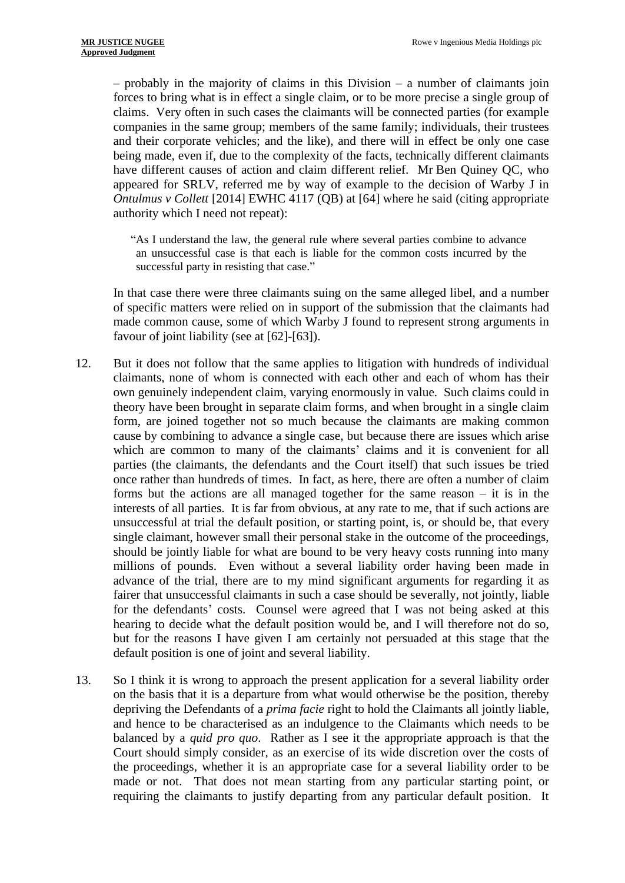– probably in the majority of claims in this Division – a number of claimants join forces to bring what is in effect a single claim, or to be more precise a single group of claims. Very often in such cases the claimants will be connected parties (for example companies in the same group; members of the same family; individuals, their trustees and their corporate vehicles; and the like), and there will in effect be only one case being made, even if, due to the complexity of the facts, technically different claimants have different causes of action and claim different relief. Mr Ben Quiney QC, who appeared for SRLV, referred me by way of example to the decision of Warby J in *Ontulmus v Collett* [2014] EWHC 4117 (QB) at [64] where he said (citing appropriate authority which I need not repeat):

"As I understand the law, the general rule where several parties combine to advance an unsuccessful case is that each is liable for the common costs incurred by the successful party in resisting that case."

In that case there were three claimants suing on the same alleged libel, and a number of specific matters were relied on in support of the submission that the claimants had made common cause, some of which Warby J found to represent strong arguments in favour of joint liability (see at [62]-[63]).

- 12. But it does not follow that the same applies to litigation with hundreds of individual claimants, none of whom is connected with each other and each of whom has their own genuinely independent claim, varying enormously in value. Such claims could in theory have been brought in separate claim forms, and when brought in a single claim form, are joined together not so much because the claimants are making common cause by combining to advance a single case, but because there are issues which arise which are common to many of the claimants' claims and it is convenient for all parties (the claimants, the defendants and the Court itself) that such issues be tried once rather than hundreds of times. In fact, as here, there are often a number of claim forms but the actions are all managed together for the same reason – it is in the interests of all parties. It is far from obvious, at any rate to me, that if such actions are unsuccessful at trial the default position, or starting point, is, or should be, that every single claimant, however small their personal stake in the outcome of the proceedings, should be jointly liable for what are bound to be very heavy costs running into many millions of pounds. Even without a several liability order having been made in advance of the trial, there are to my mind significant arguments for regarding it as fairer that unsuccessful claimants in such a case should be severally, not jointly, liable for the defendants' costs. Counsel were agreed that I was not being asked at this hearing to decide what the default position would be, and I will therefore not do so, but for the reasons I have given I am certainly not persuaded at this stage that the default position is one of joint and several liability.
- 13. So I think it is wrong to approach the present application for a several liability order on the basis that it is a departure from what would otherwise be the position, thereby depriving the Defendants of a *prima facie* right to hold the Claimants all jointly liable, and hence to be characterised as an indulgence to the Claimants which needs to be balanced by a *quid pro quo*. Rather as I see it the appropriate approach is that the Court should simply consider, as an exercise of its wide discretion over the costs of the proceedings, whether it is an appropriate case for a several liability order to be made or not. That does not mean starting from any particular starting point, or requiring the claimants to justify departing from any particular default position. It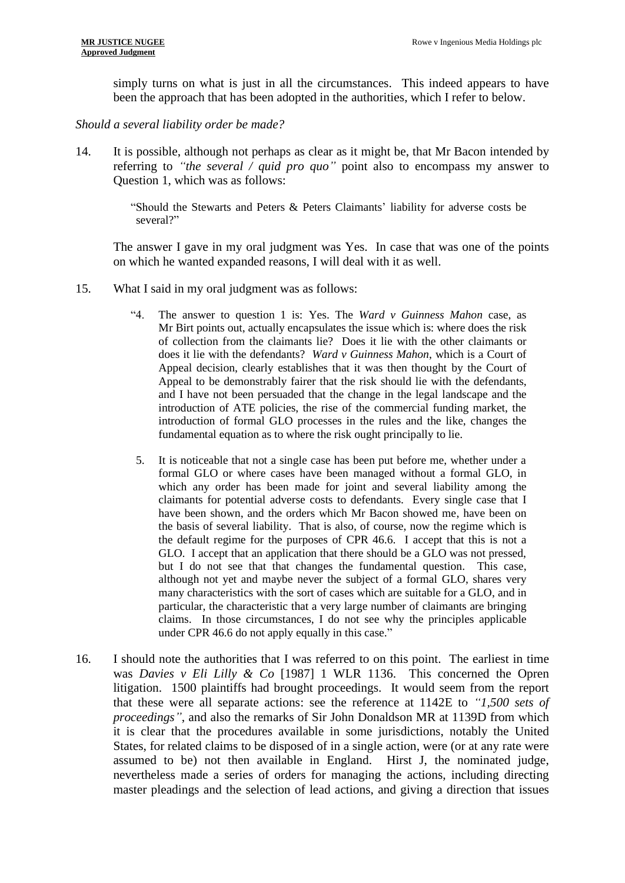simply turns on what is just in all the circumstances. This indeed appears to have been the approach that has been adopted in the authorities, which I refer to below.

*Should a several liability order be made?*

14. It is possible, although not perhaps as clear as it might be, that Mr Bacon intended by referring to *"the several / quid pro quo"* point also to encompass my answer to Question 1, which was as follows:

> "Should the Stewarts and Peters & Peters Claimants' liability for adverse costs be several?"

The answer I gave in my oral judgment was Yes. In case that was one of the points on which he wanted expanded reasons, I will deal with it as well.

- 15. What I said in my oral judgment was as follows:
	- "4. The answer to question 1 is: Yes. The *Ward v Guinness Mahon* case, as Mr Birt points out, actually encapsulates the issue which is: where does the risk of collection from the claimants lie? Does it lie with the other claimants or does it lie with the defendants? *Ward v Guinness Mahon*, which is a Court of Appeal decision, clearly establishes that it was then thought by the Court of Appeal to be demonstrably fairer that the risk should lie with the defendants, and I have not been persuaded that the change in the legal landscape and the introduction of ATE policies, the rise of the commercial funding market, the introduction of formal GLO processes in the rules and the like, changes the fundamental equation as to where the risk ought principally to lie.
	- 5. It is noticeable that not a single case has been put before me, whether under a formal GLO or where cases have been managed without a formal GLO, in which any order has been made for joint and several liability among the claimants for potential adverse costs to defendants. Every single case that I have been shown, and the orders which Mr Bacon showed me, have been on the basis of several liability. That is also, of course, now the regime which is the default regime for the purposes of CPR 46.6. I accept that this is not a GLO. I accept that an application that there should be a GLO was not pressed, but I do not see that that changes the fundamental question. This case, although not yet and maybe never the subject of a formal GLO, shares very many characteristics with the sort of cases which are suitable for a GLO, and in particular, the characteristic that a very large number of claimants are bringing claims. In those circumstances, I do not see why the principles applicable under CPR 46.6 do not apply equally in this case."
- 16. I should note the authorities that I was referred to on this point. The earliest in time was *Davies v Eli Lilly & Co* [1987] 1 WLR 1136. This concerned the Opren litigation. 1500 plaintiffs had brought proceedings. It would seem from the report that these were all separate actions: see the reference at 1142E to *"1,500 sets of proceedings"*, and also the remarks of Sir John Donaldson MR at 1139D from which it is clear that the procedures available in some jurisdictions, notably the United States, for related claims to be disposed of in a single action, were (or at any rate were assumed to be) not then available in England. Hirst J, the nominated judge, nevertheless made a series of orders for managing the actions, including directing master pleadings and the selection of lead actions, and giving a direction that issues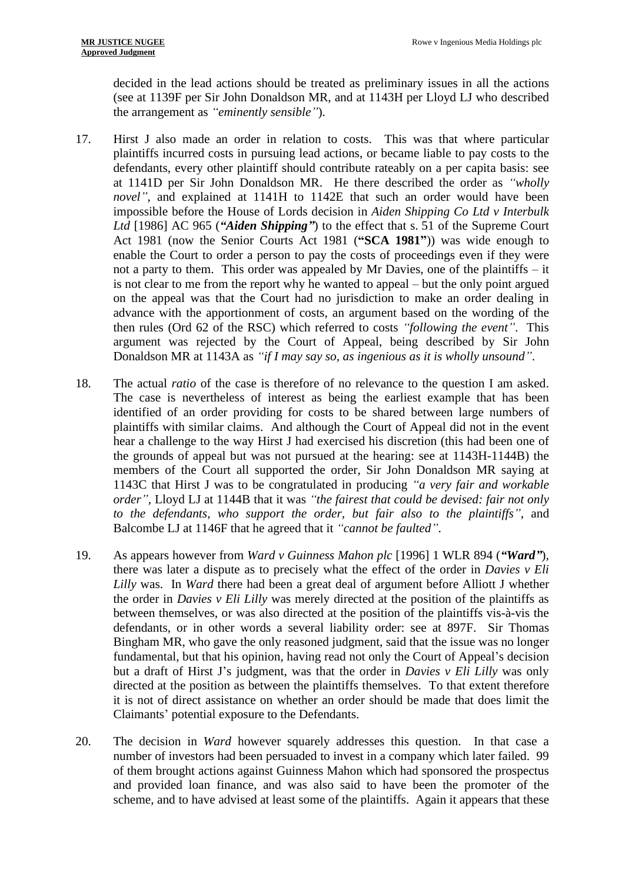decided in the lead actions should be treated as preliminary issues in all the actions (see at 1139F per Sir John Donaldson MR, and at 1143H per Lloyd LJ who described the arrangement as *"eminently sensible"*).

- 17. Hirst J also made an order in relation to costs. This was that where particular plaintiffs incurred costs in pursuing lead actions, or became liable to pay costs to the defendants, every other plaintiff should contribute rateably on a per capita basis: see at 1141D per Sir John Donaldson MR. He there described the order as *"wholly novel"*, and explained at 1141H to 1142E that such an order would have been impossible before the House of Lords decision in *Aiden Shipping Co Ltd v Interbulk Ltd* [1986] AC 965 (*"Aiden Shipping"*) to the effect that s. 51 of the Supreme Court Act 1981 (now the Senior Courts Act 1981 (**"SCA 1981"**)) was wide enough to enable the Court to order a person to pay the costs of proceedings even if they were not a party to them. This order was appealed by Mr Davies, one of the plaintiffs – it is not clear to me from the report why he wanted to appeal – but the only point argued on the appeal was that the Court had no jurisdiction to make an order dealing in advance with the apportionment of costs, an argument based on the wording of the then rules (Ord 62 of the RSC) which referred to costs *"following the event"*. This argument was rejected by the Court of Appeal, being described by Sir John Donaldson MR at 1143A as *"if I may say so, as ingenious as it is wholly unsound"*.
- 18. The actual *ratio* of the case is therefore of no relevance to the question I am asked. The case is nevertheless of interest as being the earliest example that has been identified of an order providing for costs to be shared between large numbers of plaintiffs with similar claims. And although the Court of Appeal did not in the event hear a challenge to the way Hirst J had exercised his discretion (this had been one of the grounds of appeal but was not pursued at the hearing: see at 1143H-1144B) the members of the Court all supported the order, Sir John Donaldson MR saying at 1143C that Hirst J was to be congratulated in producing *"a very fair and workable order"*, Lloyd LJ at 1144B that it was *"the fairest that could be devised: fair not only to the defendants, who support the order, but fair also to the plaintiffs"*, and Balcombe LJ at 1146F that he agreed that it *"cannot be faulted"*.
- 19. As appears however from *Ward v Guinness Mahon plc* [1996] 1 WLR 894 (*"Ward"*), there was later a dispute as to precisely what the effect of the order in *Davies v Eli Lilly* was. In *Ward* there had been a great deal of argument before Alliott J whether the order in *Davies v Eli Lilly* was merely directed at the position of the plaintiffs as between themselves, or was also directed at the position of the plaintiffs vis-à-vis the defendants, or in other words a several liability order: see at 897F. Sir Thomas Bingham MR, who gave the only reasoned judgment, said that the issue was no longer fundamental, but that his opinion, having read not only the Court of Appeal's decision but a draft of Hirst J's judgment, was that the order in *Davies v Eli Lilly* was only directed at the position as between the plaintiffs themselves. To that extent therefore it is not of direct assistance on whether an order should be made that does limit the Claimants' potential exposure to the Defendants.
- 20. The decision in *Ward* however squarely addresses this question. In that case a number of investors had been persuaded to invest in a company which later failed. 99 of them brought actions against Guinness Mahon which had sponsored the prospectus and provided loan finance, and was also said to have been the promoter of the scheme, and to have advised at least some of the plaintiffs. Again it appears that these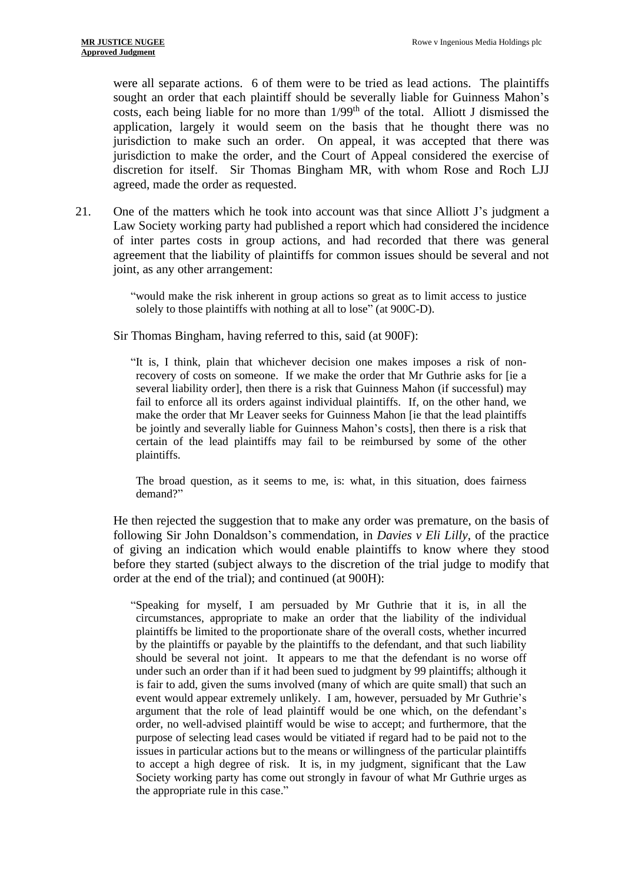were all separate actions. 6 of them were to be tried as lead actions. The plaintiffs sought an order that each plaintiff should be severally liable for Guinness Mahon's costs, each being liable for no more than 1/99<sup>th</sup> of the total. Alliott J dismissed the application, largely it would seem on the basis that he thought there was no jurisdiction to make such an order. On appeal, it was accepted that there was jurisdiction to make the order, and the Court of Appeal considered the exercise of discretion for itself. Sir Thomas Bingham MR, with whom Rose and Roch LJJ agreed, made the order as requested.

21. One of the matters which he took into account was that since Alliott J's judgment a Law Society working party had published a report which had considered the incidence of inter partes costs in group actions, and had recorded that there was general agreement that the liability of plaintiffs for common issues should be several and not joint, as any other arrangement:

> "would make the risk inherent in group actions so great as to limit access to justice solely to those plaintiffs with nothing at all to lose" (at 900C-D).

Sir Thomas Bingham, having referred to this, said (at 900F):

"It is, I think, plain that whichever decision one makes imposes a risk of nonrecovery of costs on someone. If we make the order that Mr Guthrie asks for [ie a several liability order], then there is a risk that Guinness Mahon (if successful) may fail to enforce all its orders against individual plaintiffs. If, on the other hand, we make the order that Mr Leaver seeks for Guinness Mahon [ie that the lead plaintiffs be jointly and severally liable for Guinness Mahon's costs], then there is a risk that certain of the lead plaintiffs may fail to be reimbursed by some of the other plaintiffs.

The broad question, as it seems to me, is: what, in this situation, does fairness demand?"

He then rejected the suggestion that to make any order was premature, on the basis of following Sir John Donaldson's commendation, in *Davies v Eli Lilly*, of the practice of giving an indication which would enable plaintiffs to know where they stood before they started (subject always to the discretion of the trial judge to modify that order at the end of the trial); and continued (at 900H):

"Speaking for myself, I am persuaded by Mr Guthrie that it is, in all the circumstances, appropriate to make an order that the liability of the individual plaintiffs be limited to the proportionate share of the overall costs, whether incurred by the plaintiffs or payable by the plaintiffs to the defendant, and that such liability should be several not joint. It appears to me that the defendant is no worse off under such an order than if it had been sued to judgment by 99 plaintiffs; although it is fair to add, given the sums involved (many of which are quite small) that such an event would appear extremely unlikely. I am, however, persuaded by Mr Guthrie's argument that the role of lead plaintiff would be one which, on the defendant's order, no well-advised plaintiff would be wise to accept; and furthermore, that the purpose of selecting lead cases would be vitiated if regard had to be paid not to the issues in particular actions but to the means or willingness of the particular plaintiffs to accept a high degree of risk. It is, in my judgment, significant that the Law Society working party has come out strongly in favour of what Mr Guthrie urges as the appropriate rule in this case."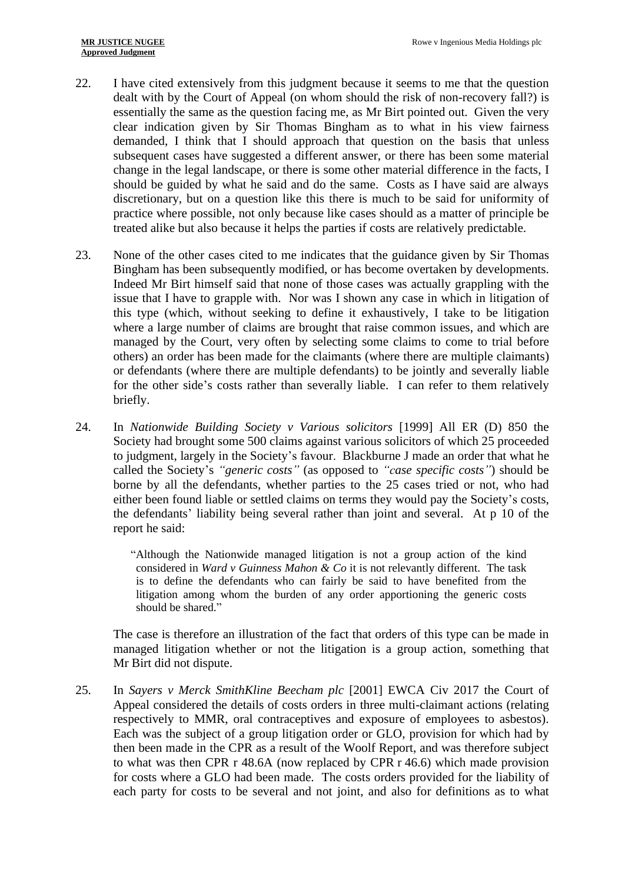- 22. I have cited extensively from this judgment because it seems to me that the question dealt with by the Court of Appeal (on whom should the risk of non-recovery fall?) is essentially the same as the question facing me, as Mr Birt pointed out. Given the very clear indication given by Sir Thomas Bingham as to what in his view fairness demanded, I think that I should approach that question on the basis that unless subsequent cases have suggested a different answer, or there has been some material change in the legal landscape, or there is some other material difference in the facts, I should be guided by what he said and do the same. Costs as I have said are always discretionary, but on a question like this there is much to be said for uniformity of practice where possible, not only because like cases should as a matter of principle be treated alike but also because it helps the parties if costs are relatively predictable.
- 23. None of the other cases cited to me indicates that the guidance given by Sir Thomas Bingham has been subsequently modified, or has become overtaken by developments. Indeed Mr Birt himself said that none of those cases was actually grappling with the issue that I have to grapple with. Nor was I shown any case in which in litigation of this type (which, without seeking to define it exhaustively, I take to be litigation where a large number of claims are brought that raise common issues, and which are managed by the Court, very often by selecting some claims to come to trial before others) an order has been made for the claimants (where there are multiple claimants) or defendants (where there are multiple defendants) to be jointly and severally liable for the other side's costs rather than severally liable. I can refer to them relatively briefly.
- 24. In *Nationwide Building Society v Various solicitors* [1999] All ER (D) 850 the Society had brought some 500 claims against various solicitors of which 25 proceeded to judgment, largely in the Society's favour. Blackburne J made an order that what he called the Society's *"generic costs"* (as opposed to *"case specific costs"*) should be borne by all the defendants, whether parties to the 25 cases tried or not, who had either been found liable or settled claims on terms they would pay the Society's costs, the defendants' liability being several rather than joint and several. At p 10 of the report he said:

"Although the Nationwide managed litigation is not a group action of the kind considered in *Ward v Guinness Mahon & Co* it is not relevantly different. The task is to define the defendants who can fairly be said to have benefited from the litigation among whom the burden of any order apportioning the generic costs should be shared."

The case is therefore an illustration of the fact that orders of this type can be made in managed litigation whether or not the litigation is a group action, something that Mr Birt did not dispute.

25. In *Sayers v Merck SmithKline Beecham plc* [2001] EWCA Civ 2017 the Court of Appeal considered the details of costs orders in three multi-claimant actions (relating respectively to MMR, oral contraceptives and exposure of employees to asbestos). Each was the subject of a group litigation order or GLO, provision for which had by then been made in the CPR as a result of the Woolf Report, and was therefore subject to what was then CPR r 48.6A (now replaced by CPR r 46.6) which made provision for costs where a GLO had been made. The costs orders provided for the liability of each party for costs to be several and not joint, and also for definitions as to what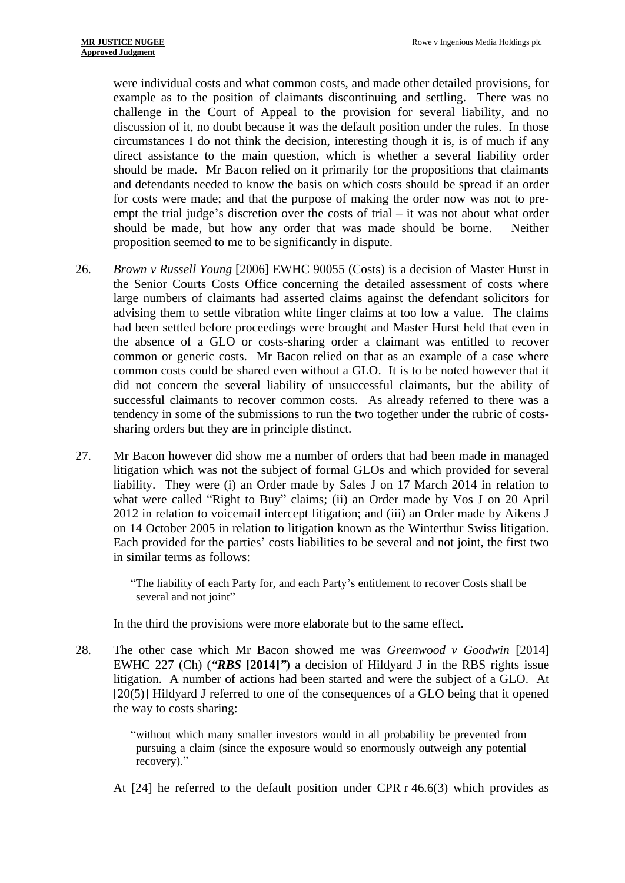were individual costs and what common costs, and made other detailed provisions, for example as to the position of claimants discontinuing and settling. There was no challenge in the Court of Appeal to the provision for several liability, and no discussion of it, no doubt because it was the default position under the rules. In those circumstances I do not think the decision, interesting though it is, is of much if any direct assistance to the main question, which is whether a several liability order should be made. Mr Bacon relied on it primarily for the propositions that claimants and defendants needed to know the basis on which costs should be spread if an order for costs were made; and that the purpose of making the order now was not to preempt the trial judge's discretion over the costs of trial – it was not about what order should be made, but how any order that was made should be borne. Neither proposition seemed to me to be significantly in dispute.

- 26. *Brown v Russell Young* [2006] EWHC 90055 (Costs) is a decision of Master Hurst in the Senior Courts Costs Office concerning the detailed assessment of costs where large numbers of claimants had asserted claims against the defendant solicitors for advising them to settle vibration white finger claims at too low a value. The claims had been settled before proceedings were brought and Master Hurst held that even in the absence of a GLO or costs-sharing order a claimant was entitled to recover common or generic costs. Mr Bacon relied on that as an example of a case where common costs could be shared even without a GLO. It is to be noted however that it did not concern the several liability of unsuccessful claimants, but the ability of successful claimants to recover common costs. As already referred to there was a tendency in some of the submissions to run the two together under the rubric of costssharing orders but they are in principle distinct.
- 27. Mr Bacon however did show me a number of orders that had been made in managed litigation which was not the subject of formal GLOs and which provided for several liability. They were (i) an Order made by Sales J on 17 March 2014 in relation to what were called "Right to Buy" claims; (ii) an Order made by Vos J on 20 April 2012 in relation to voicemail intercept litigation; and (iii) an Order made by Aikens J on 14 October 2005 in relation to litigation known as the Winterthur Swiss litigation. Each provided for the parties' costs liabilities to be several and not joint, the first two in similar terms as follows:

"The liability of each Party for, and each Party's entitlement to recover Costs shall be several and not joint"

In the third the provisions were more elaborate but to the same effect.

28. The other case which Mr Bacon showed me was *Greenwood v Goodwin* [2014] EWHC 227 (Ch) (*"RBS* **[2014]***"*) a decision of Hildyard J in the RBS rights issue litigation. A number of actions had been started and were the subject of a GLO. At [20(5)] Hildyard J referred to one of the consequences of a GLO being that it opened the way to costs sharing:

> "without which many smaller investors would in all probability be prevented from pursuing a claim (since the exposure would so enormously outweigh any potential recovery)."

At [24] he referred to the default position under CPR r 46.6(3) which provides as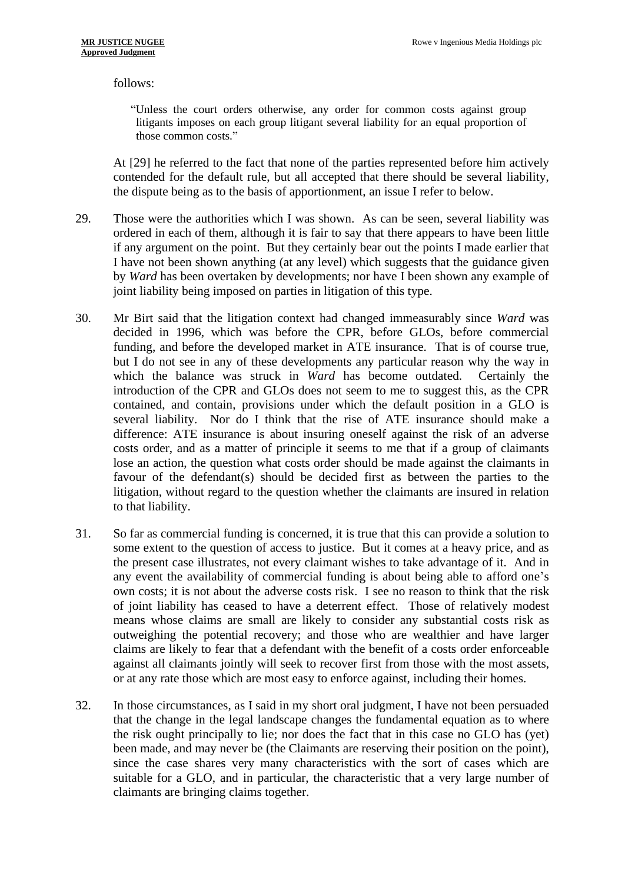follows:

"Unless the court orders otherwise, any order for common costs against group litigants imposes on each group litigant several liability for an equal proportion of those common costs."

At [29] he referred to the fact that none of the parties represented before him actively contended for the default rule, but all accepted that there should be several liability, the dispute being as to the basis of apportionment, an issue I refer to below.

- 29. Those were the authorities which I was shown. As can be seen, several liability was ordered in each of them, although it is fair to say that there appears to have been little if any argument on the point. But they certainly bear out the points I made earlier that I have not been shown anything (at any level) which suggests that the guidance given by *Ward* has been overtaken by developments; nor have I been shown any example of joint liability being imposed on parties in litigation of this type.
- 30. Mr Birt said that the litigation context had changed immeasurably since *Ward* was decided in 1996, which was before the CPR, before GLOs, before commercial funding, and before the developed market in ATE insurance. That is of course true, but I do not see in any of these developments any particular reason why the way in which the balance was struck in *Ward* has become outdated. Certainly the introduction of the CPR and GLOs does not seem to me to suggest this, as the CPR contained, and contain, provisions under which the default position in a GLO is several liability. Nor do I think that the rise of ATE insurance should make a difference: ATE insurance is about insuring oneself against the risk of an adverse costs order, and as a matter of principle it seems to me that if a group of claimants lose an action, the question what costs order should be made against the claimants in favour of the defendant(s) should be decided first as between the parties to the litigation, without regard to the question whether the claimants are insured in relation to that liability.
- 31. So far as commercial funding is concerned, it is true that this can provide a solution to some extent to the question of access to justice. But it comes at a heavy price, and as the present case illustrates, not every claimant wishes to take advantage of it. And in any event the availability of commercial funding is about being able to afford one's own costs; it is not about the adverse costs risk. I see no reason to think that the risk of joint liability has ceased to have a deterrent effect. Those of relatively modest means whose claims are small are likely to consider any substantial costs risk as outweighing the potential recovery; and those who are wealthier and have larger claims are likely to fear that a defendant with the benefit of a costs order enforceable against all claimants jointly will seek to recover first from those with the most assets, or at any rate those which are most easy to enforce against, including their homes.
- 32. In those circumstances, as I said in my short oral judgment, I have not been persuaded that the change in the legal landscape changes the fundamental equation as to where the risk ought principally to lie; nor does the fact that in this case no GLO has (yet) been made, and may never be (the Claimants are reserving their position on the point), since the case shares very many characteristics with the sort of cases which are suitable for a GLO, and in particular, the characteristic that a very large number of claimants are bringing claims together.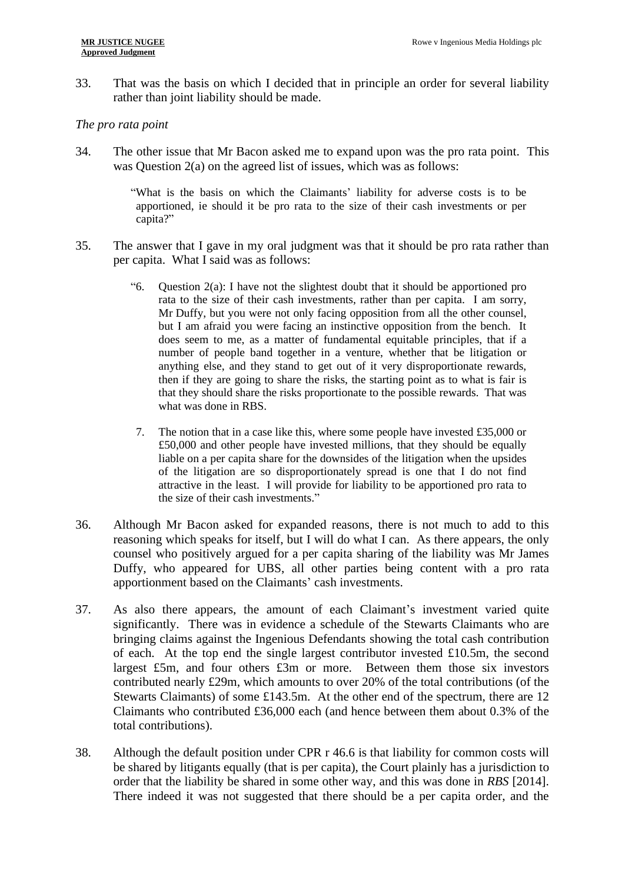33. That was the basis on which I decided that in principle an order for several liability rather than joint liability should be made.

## *The pro rata point*

34. The other issue that Mr Bacon asked me to expand upon was the pro rata point. This was Question 2(a) on the agreed list of issues, which was as follows:

> "What is the basis on which the Claimants' liability for adverse costs is to be apportioned, ie should it be pro rata to the size of their cash investments or per capita?"

- 35. The answer that I gave in my oral judgment was that it should be pro rata rather than per capita. What I said was as follows:
	- "6. Question 2(a): I have not the slightest doubt that it should be apportioned pro rata to the size of their cash investments, rather than per capita. I am sorry, Mr Duffy, but you were not only facing opposition from all the other counsel, but I am afraid you were facing an instinctive opposition from the bench. It does seem to me, as a matter of fundamental equitable principles, that if a number of people band together in a venture, whether that be litigation or anything else, and they stand to get out of it very disproportionate rewards, then if they are going to share the risks, the starting point as to what is fair is that they should share the risks proportionate to the possible rewards. That was what was done in RBS.
	- 7. The notion that in a case like this, where some people have invested £35,000 or £50,000 and other people have invested millions, that they should be equally liable on a per capita share for the downsides of the litigation when the upsides of the litigation are so disproportionately spread is one that I do not find attractive in the least. I will provide for liability to be apportioned pro rata to the size of their cash investments."
- 36. Although Mr Bacon asked for expanded reasons, there is not much to add to this reasoning which speaks for itself, but I will do what I can. As there appears, the only counsel who positively argued for a per capita sharing of the liability was Mr James Duffy, who appeared for UBS, all other parties being content with a pro rata apportionment based on the Claimants' cash investments.
- 37. As also there appears, the amount of each Claimant's investment varied quite significantly. There was in evidence a schedule of the Stewarts Claimants who are bringing claims against the Ingenious Defendants showing the total cash contribution of each. At the top end the single largest contributor invested £10.5m, the second largest £5m, and four others £3m or more. Between them those six investors contributed nearly £29m, which amounts to over 20% of the total contributions (of the Stewarts Claimants) of some £143.5m. At the other end of the spectrum, there are 12 Claimants who contributed £36,000 each (and hence between them about 0.3% of the total contributions).
- 38. Although the default position under CPR r 46.6 is that liability for common costs will be shared by litigants equally (that is per capita), the Court plainly has a jurisdiction to order that the liability be shared in some other way, and this was done in *RBS* [2014]. There indeed it was not suggested that there should be a per capita order, and the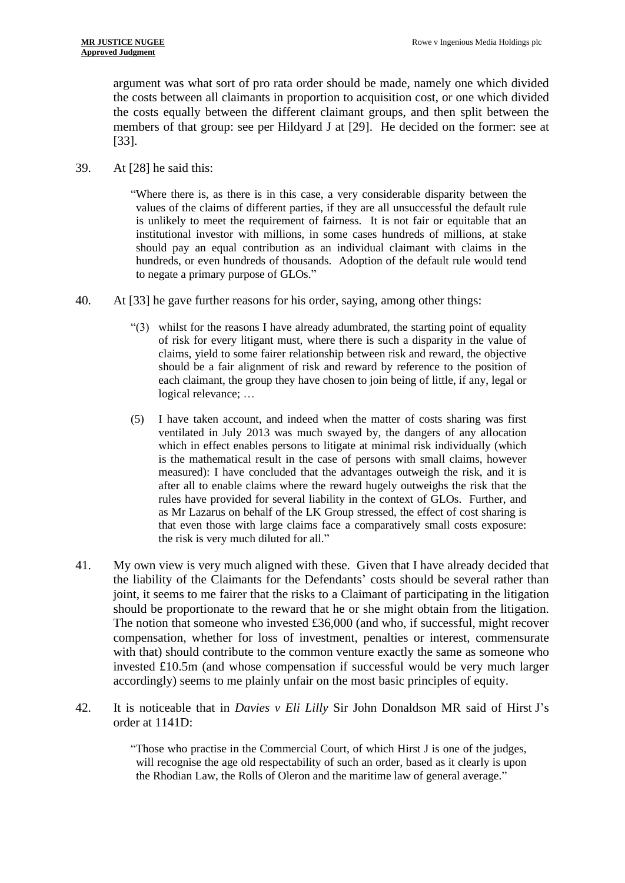argument was what sort of pro rata order should be made, namely one which divided the costs between all claimants in proportion to acquisition cost, or one which divided the costs equally between the different claimant groups, and then split between the members of that group: see per Hildyard J at [29]. He decided on the former: see at [33].

39. At [28] he said this:

"Where there is, as there is in this case, a very considerable disparity between the values of the claims of different parties, if they are all unsuccessful the default rule is unlikely to meet the requirement of fairness. It is not fair or equitable that an institutional investor with millions, in some cases hundreds of millions, at stake should pay an equal contribution as an individual claimant with claims in the hundreds, or even hundreds of thousands. Adoption of the default rule would tend to negate a primary purpose of GLOs."

- 40. At [33] he gave further reasons for his order, saying, among other things:
	- "(3) whilst for the reasons I have already adumbrated, the starting point of equality of risk for every litigant must, where there is such a disparity in the value of claims, yield to some fairer relationship between risk and reward, the objective should be a fair alignment of risk and reward by reference to the position of each claimant, the group they have chosen to join being of little, if any, legal or logical relevance; …
	- (5) I have taken account, and indeed when the matter of costs sharing was first ventilated in July 2013 was much swayed by, the dangers of any allocation which in effect enables persons to litigate at minimal risk individually (which is the mathematical result in the case of persons with small claims, however measured): I have concluded that the advantages outweigh the risk, and it is after all to enable claims where the reward hugely outweighs the risk that the rules have provided for several liability in the context of GLOs. Further, and as Mr Lazarus on behalf of the LK Group stressed, the effect of cost sharing is that even those with large claims face a comparatively small costs exposure: the risk is very much diluted for all."
- 41. My own view is very much aligned with these. Given that I have already decided that the liability of the Claimants for the Defendants' costs should be several rather than joint, it seems to me fairer that the risks to a Claimant of participating in the litigation should be proportionate to the reward that he or she might obtain from the litigation. The notion that someone who invested  $£36,000$  (and who, if successful, might recover compensation, whether for loss of investment, penalties or interest, commensurate with that) should contribute to the common venture exactly the same as someone who invested £10.5m (and whose compensation if successful would be very much larger accordingly) seems to me plainly unfair on the most basic principles of equity.
- 42. It is noticeable that in *Davies v Eli Lilly* Sir John Donaldson MR said of Hirst J's order at 1141D:

"Those who practise in the Commercial Court, of which Hirst J is one of the judges, will recognise the age old respectability of such an order, based as it clearly is upon the Rhodian Law, the Rolls of Oleron and the maritime law of general average."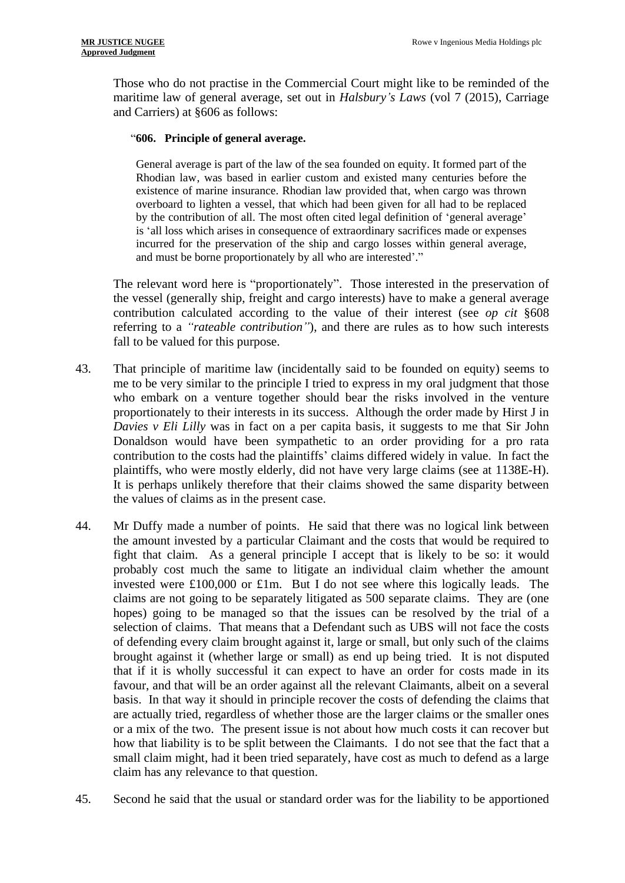Those who do not practise in the Commercial Court might like to be reminded of the maritime law of general average, set out in *Halsbury's Laws* (vol 7 (2015), Carriage and Carriers) at §606 as follows:

#### "**606. Principle of general average.**

General average is part of the law of the sea founded on equity. It formed part of the Rhodian la[w,](https://www.lexisnexis.com/uk/legal/#ref1_68616C735F63617272696167655F69755F373430_ID0E5G) was based in earlier custom and existed many centuries before the existence of marine insurance. Rhodian law provided that, when cargo was thrown overboard to lighten a vessel, that which had been given for all had to be replaced by the contribution of all. The most often cited legal definition of 'general average' is 'all loss which arises in consequence of extraordinary sacrifices made or expenses incurred for the preservation of the ship and cargo losses within general average, and must be borne proportionately by all who are interested'."

The relevant word here is "proportionately". Those interested in the preservation of the vessel (generally ship, freight and cargo interests) have to make a general average contribution calculated according to the value of their interest (see *op cit* §608 referring to a *"rateable contribution"*), and there are rules as to how such interests fall to be valued for this purpose.

- 43. That principle of maritime law (incidentally said to be founded on equity) seems to me to be very similar to the principle I tried to express in my oral judgment that those who embark on a venture together should bear the risks involved in the venture proportionately to their interests in its success. Although the order made by Hirst J in *Davies v Eli Lilly* was in fact on a per capita basis, it suggests to me that Sir John Donaldson would have been sympathetic to an order providing for a pro rata contribution to the costs had the plaintiffs' claims differed widely in value. In fact the plaintiffs, who were mostly elderly, did not have very large claims (see at 1138E-H). It is perhaps unlikely therefore that their claims showed the same disparity between the values of claims as in the present case.
- 44. Mr Duffy made a number of points. He said that there was no logical link between the amount invested by a particular Claimant and the costs that would be required to fight that claim. As a general principle I accept that is likely to be so: it would probably cost much the same to litigate an individual claim whether the amount invested were £100,000 or £1m. But I do not see where this logically leads. The claims are not going to be separately litigated as 500 separate claims. They are (one hopes) going to be managed so that the issues can be resolved by the trial of a selection of claims. That means that a Defendant such as UBS will not face the costs of defending every claim brought against it, large or small, but only such of the claims brought against it (whether large or small) as end up being tried. It is not disputed that if it is wholly successful it can expect to have an order for costs made in its favour, and that will be an order against all the relevant Claimants, albeit on a several basis. In that way it should in principle recover the costs of defending the claims that are actually tried, regardless of whether those are the larger claims or the smaller ones or a mix of the two. The present issue is not about how much costs it can recover but how that liability is to be split between the Claimants. I do not see that the fact that a small claim might, had it been tried separately, have cost as much to defend as a large claim has any relevance to that question.
- 45. Second he said that the usual or standard order was for the liability to be apportioned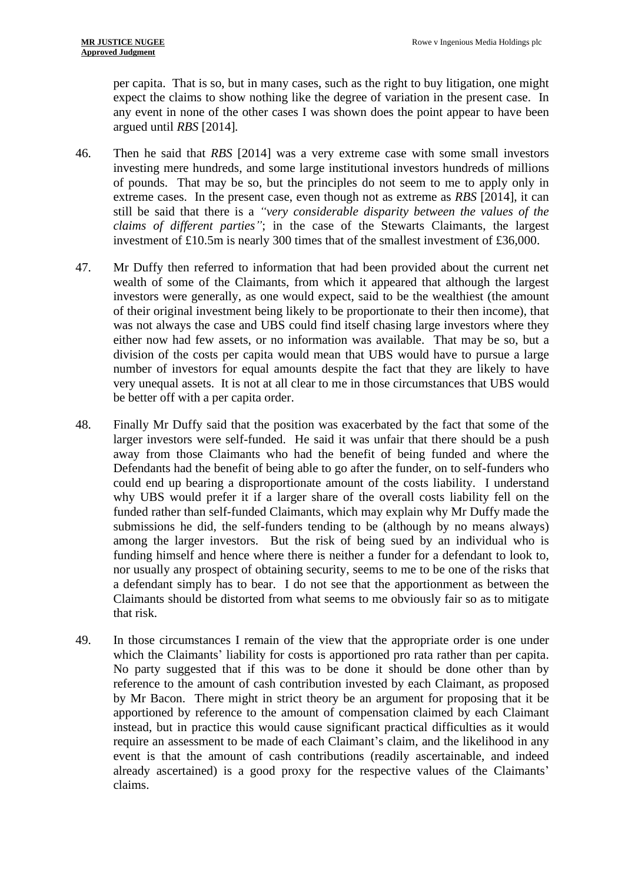per capita. That is so, but in many cases, such as the right to buy litigation, one might expect the claims to show nothing like the degree of variation in the present case. In any event in none of the other cases I was shown does the point appear to have been argued until *RBS* [2014]*.* 

- 46. Then he said that *RBS* [2014] was a very extreme case with some small investors investing mere hundreds, and some large institutional investors hundreds of millions of pounds. That may be so, but the principles do not seem to me to apply only in extreme cases. In the present case, even though not as extreme as *RBS* [2014], it can still be said that there is a *"very considerable disparity between the values of the claims of different parties"*; in the case of the Stewarts Claimants, the largest investment of £10.5m is nearly 300 times that of the smallest investment of £36,000.
- 47. Mr Duffy then referred to information that had been provided about the current net wealth of some of the Claimants, from which it appeared that although the largest investors were generally, as one would expect, said to be the wealthiest (the amount of their original investment being likely to be proportionate to their then income), that was not always the case and UBS could find itself chasing large investors where they either now had few assets, or no information was available. That may be so, but a division of the costs per capita would mean that UBS would have to pursue a large number of investors for equal amounts despite the fact that they are likely to have very unequal assets. It is not at all clear to me in those circumstances that UBS would be better off with a per capita order.
- 48. Finally Mr Duffy said that the position was exacerbated by the fact that some of the larger investors were self-funded. He said it was unfair that there should be a push away from those Claimants who had the benefit of being funded and where the Defendants had the benefit of being able to go after the funder, on to self-funders who could end up bearing a disproportionate amount of the costs liability. I understand why UBS would prefer it if a larger share of the overall costs liability fell on the funded rather than self-funded Claimants, which may explain why Mr Duffy made the submissions he did, the self-funders tending to be (although by no means always) among the larger investors. But the risk of being sued by an individual who is funding himself and hence where there is neither a funder for a defendant to look to, nor usually any prospect of obtaining security, seems to me to be one of the risks that a defendant simply has to bear. I do not see that the apportionment as between the Claimants should be distorted from what seems to me obviously fair so as to mitigate that risk.
- 49. In those circumstances I remain of the view that the appropriate order is one under which the Claimants' liability for costs is apportioned pro rata rather than per capita. No party suggested that if this was to be done it should be done other than by reference to the amount of cash contribution invested by each Claimant, as proposed by Mr Bacon. There might in strict theory be an argument for proposing that it be apportioned by reference to the amount of compensation claimed by each Claimant instead, but in practice this would cause significant practical difficulties as it would require an assessment to be made of each Claimant's claim, and the likelihood in any event is that the amount of cash contributions (readily ascertainable, and indeed already ascertained) is a good proxy for the respective values of the Claimants' claims.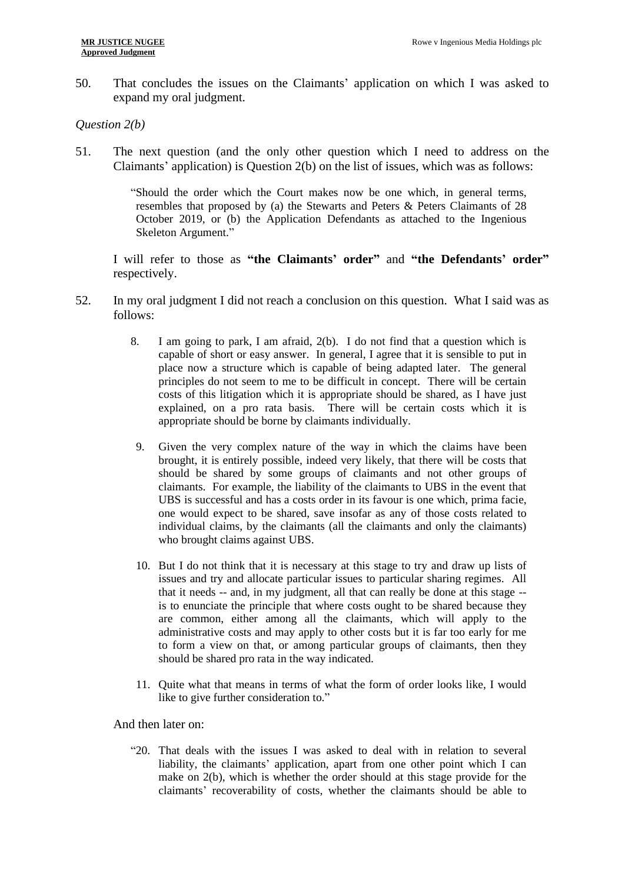50. That concludes the issues on the Claimants' application on which I was asked to expand my oral judgment.

## *Question 2(b)*

51. The next question (and the only other question which I need to address on the Claimants' application) is Question 2(b) on the list of issues, which was as follows:

> "Should the order which the Court makes now be one which, in general terms, resembles that proposed by (a) the Stewarts and Peters & Peters Claimants of 28 October 2019, or (b) the Application Defendants as attached to the Ingenious Skeleton Argument."

I will refer to those as **"the Claimants' order"** and **"the Defendants' order"** respectively.

- 52. In my oral judgment I did not reach a conclusion on this question. What I said was as follows:
	- 8. I am going to park, I am afraid, 2(b). I do not find that a question which is capable of short or easy answer. In general, I agree that it is sensible to put in place now a structure which is capable of being adapted later. The general principles do not seem to me to be difficult in concept. There will be certain costs of this litigation which it is appropriate should be shared, as I have just explained, on a pro rata basis. There will be certain costs which it is appropriate should be borne by claimants individually.
	- 9. Given the very complex nature of the way in which the claims have been brought, it is entirely possible, indeed very likely, that there will be costs that should be shared by some groups of claimants and not other groups of claimants. For example, the liability of the claimants to UBS in the event that UBS is successful and has a costs order in its favour is one which, prima facie, one would expect to be shared, save insofar as any of those costs related to individual claims, by the claimants (all the claimants and only the claimants) who brought claims against UBS.
	- 10. But I do not think that it is necessary at this stage to try and draw up lists of issues and try and allocate particular issues to particular sharing regimes. All that it needs -- and, in my judgment, all that can really be done at this stage - is to enunciate the principle that where costs ought to be shared because they are common, either among all the claimants, which will apply to the administrative costs and may apply to other costs but it is far too early for me to form a view on that, or among particular groups of claimants, then they should be shared pro rata in the way indicated.
	- 11. Quite what that means in terms of what the form of order looks like, I would like to give further consideration to."

And then later on:

"20. That deals with the issues I was asked to deal with in relation to several liability, the claimants' application, apart from one other point which I can make on 2(b), which is whether the order should at this stage provide for the claimants' recoverability of costs, whether the claimants should be able to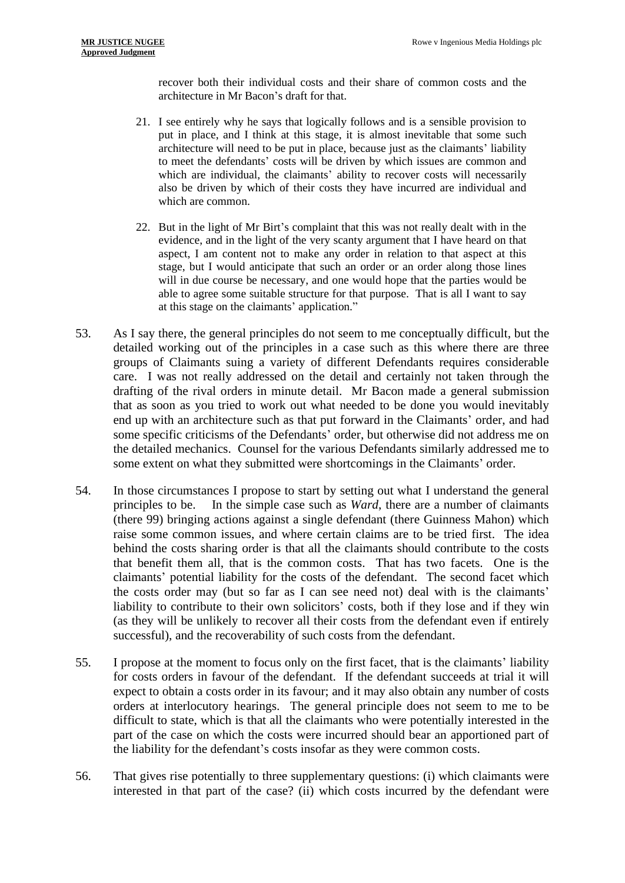recover both their individual costs and their share of common costs and the architecture in Mr Bacon's draft for that.

- 21. I see entirely why he says that logically follows and is a sensible provision to put in place, and I think at this stage, it is almost inevitable that some such architecture will need to be put in place, because just as the claimants' liability to meet the defendants' costs will be driven by which issues are common and which are individual, the claimants' ability to recover costs will necessarily also be driven by which of their costs they have incurred are individual and which are common.
- 22. But in the light of Mr Birt's complaint that this was not really dealt with in the evidence, and in the light of the very scanty argument that I have heard on that aspect, I am content not to make any order in relation to that aspect at this stage, but I would anticipate that such an order or an order along those lines will in due course be necessary, and one would hope that the parties would be able to agree some suitable structure for that purpose. That is all I want to say at this stage on the claimants' application."
- 53. As I say there, the general principles do not seem to me conceptually difficult, but the detailed working out of the principles in a case such as this where there are three groups of Claimants suing a variety of different Defendants requires considerable care. I was not really addressed on the detail and certainly not taken through the drafting of the rival orders in minute detail. Mr Bacon made a general submission that as soon as you tried to work out what needed to be done you would inevitably end up with an architecture such as that put forward in the Claimants' order, and had some specific criticisms of the Defendants' order, but otherwise did not address me on the detailed mechanics. Counsel for the various Defendants similarly addressed me to some extent on what they submitted were shortcomings in the Claimants' order.
- 54. In those circumstances I propose to start by setting out what I understand the general principles to be. In the simple case such as *Ward*, there are a number of claimants (there 99) bringing actions against a single defendant (there Guinness Mahon) which raise some common issues, and where certain claims are to be tried first. The idea behind the costs sharing order is that all the claimants should contribute to the costs that benefit them all, that is the common costs. That has two facets. One is the claimants' potential liability for the costs of the defendant. The second facet which the costs order may (but so far as I can see need not) deal with is the claimants' liability to contribute to their own solicitors' costs, both if they lose and if they win (as they will be unlikely to recover all their costs from the defendant even if entirely successful), and the recoverability of such costs from the defendant.
- 55. I propose at the moment to focus only on the first facet, that is the claimants' liability for costs orders in favour of the defendant. If the defendant succeeds at trial it will expect to obtain a costs order in its favour; and it may also obtain any number of costs orders at interlocutory hearings. The general principle does not seem to me to be difficult to state, which is that all the claimants who were potentially interested in the part of the case on which the costs were incurred should bear an apportioned part of the liability for the defendant's costs insofar as they were common costs.
- 56. That gives rise potentially to three supplementary questions: (i) which claimants were interested in that part of the case? (ii) which costs incurred by the defendant were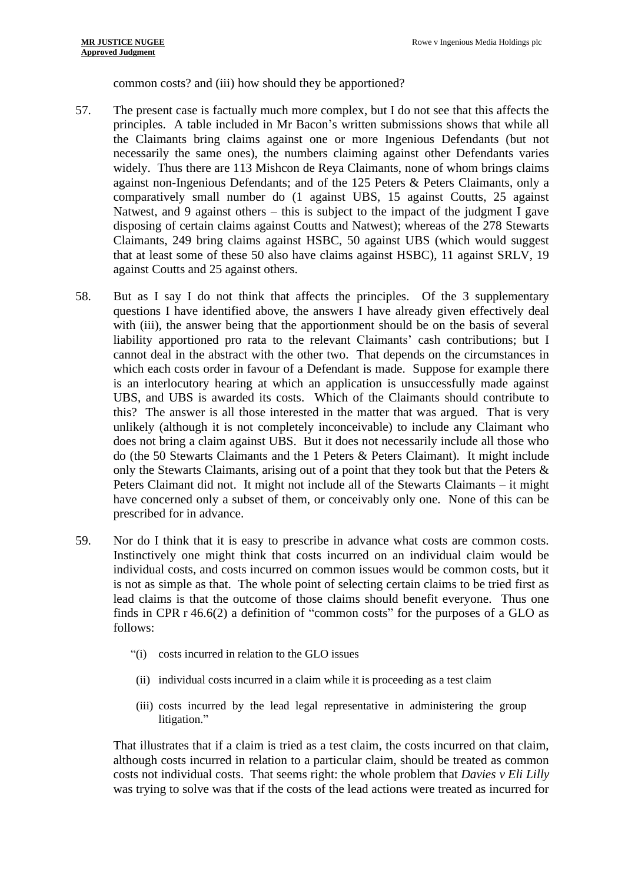common costs? and (iii) how should they be apportioned?

- 57. The present case is factually much more complex, but I do not see that this affects the principles. A table included in Mr Bacon's written submissions shows that while all the Claimants bring claims against one or more Ingenious Defendants (but not necessarily the same ones), the numbers claiming against other Defendants varies widely. Thus there are 113 Mishcon de Reya Claimants, none of whom brings claims against non-Ingenious Defendants; and of the 125 Peters & Peters Claimants, only a comparatively small number do (1 against UBS, 15 against Coutts, 25 against Natwest, and 9 against others – this is subject to the impact of the judgment I gave disposing of certain claims against Coutts and Natwest); whereas of the 278 Stewarts Claimants, 249 bring claims against HSBC, 50 against UBS (which would suggest that at least some of these 50 also have claims against HSBC), 11 against SRLV, 19 against Coutts and 25 against others.
- 58. But as I say I do not think that affects the principles. Of the 3 supplementary questions I have identified above, the answers I have already given effectively deal with (iii), the answer being that the apportionment should be on the basis of several liability apportioned pro rata to the relevant Claimants' cash contributions; but I cannot deal in the abstract with the other two. That depends on the circumstances in which each costs order in favour of a Defendant is made. Suppose for example there is an interlocutory hearing at which an application is unsuccessfully made against UBS, and UBS is awarded its costs. Which of the Claimants should contribute to this? The answer is all those interested in the matter that was argued. That is very unlikely (although it is not completely inconceivable) to include any Claimant who does not bring a claim against UBS. But it does not necessarily include all those who do (the 50 Stewarts Claimants and the 1 Peters & Peters Claimant). It might include only the Stewarts Claimants, arising out of a point that they took but that the Peters & Peters Claimant did not. It might not include all of the Stewarts Claimants – it might have concerned only a subset of them, or conceivably only one. None of this can be prescribed for in advance.
- 59. Nor do I think that it is easy to prescribe in advance what costs are common costs. Instinctively one might think that costs incurred on an individual claim would be individual costs, and costs incurred on common issues would be common costs, but it is not as simple as that. The whole point of selecting certain claims to be tried first as lead claims is that the outcome of those claims should benefit everyone. Thus one finds in CPR r 46.6(2) a definition of "common costs" for the purposes of a GLO as follows:
	- "(i) costs incurred in relation to the GLO issues
	- (ii) individual costs incurred in a claim while it is proceeding as a test claim
	- (iii) costs incurred by the lead legal representative in administering the group litigation."

That illustrates that if a claim is tried as a test claim, the costs incurred on that claim, although costs incurred in relation to a particular claim, should be treated as common costs not individual costs. That seems right: the whole problem that *Davies v Eli Lilly* was trying to solve was that if the costs of the lead actions were treated as incurred for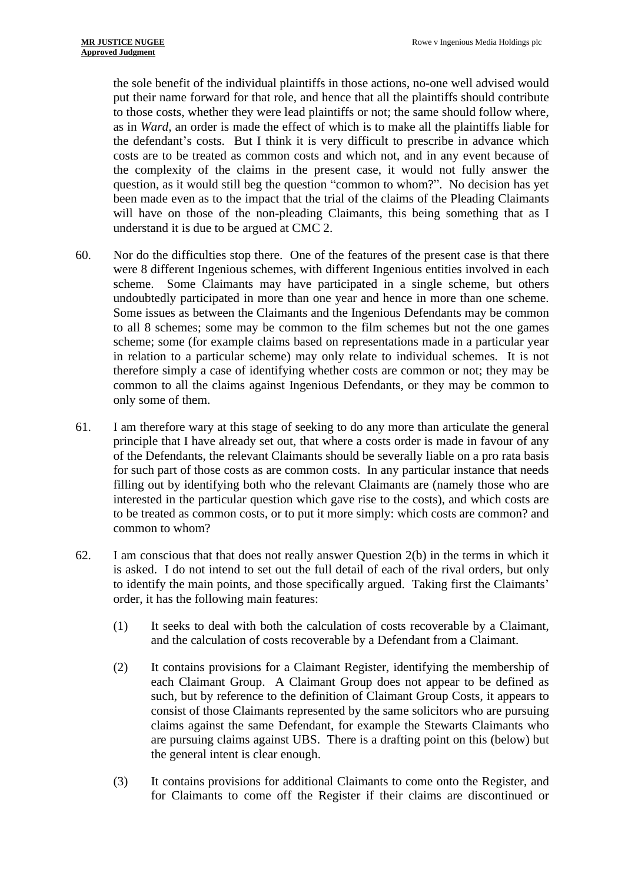the sole benefit of the individual plaintiffs in those actions, no-one well advised would put their name forward for that role, and hence that all the plaintiffs should contribute to those costs, whether they were lead plaintiffs or not; the same should follow where, as in *Ward*, an order is made the effect of which is to make all the plaintiffs liable for the defendant's costs. But I think it is very difficult to prescribe in advance which costs are to be treated as common costs and which not, and in any event because of the complexity of the claims in the present case, it would not fully answer the question, as it would still beg the question "common to whom?". No decision has yet been made even as to the impact that the trial of the claims of the Pleading Claimants will have on those of the non-pleading Claimants, this being something that as I understand it is due to be argued at CMC 2.

- 60. Nor do the difficulties stop there. One of the features of the present case is that there were 8 different Ingenious schemes, with different Ingenious entities involved in each scheme. Some Claimants may have participated in a single scheme, but others undoubtedly participated in more than one year and hence in more than one scheme. Some issues as between the Claimants and the Ingenious Defendants may be common to all 8 schemes; some may be common to the film schemes but not the one games scheme; some (for example claims based on representations made in a particular year in relation to a particular scheme) may only relate to individual schemes. It is not therefore simply a case of identifying whether costs are common or not; they may be common to all the claims against Ingenious Defendants, or they may be common to only some of them.
- 61. I am therefore wary at this stage of seeking to do any more than articulate the general principle that I have already set out, that where a costs order is made in favour of any of the Defendants, the relevant Claimants should be severally liable on a pro rata basis for such part of those costs as are common costs. In any particular instance that needs filling out by identifying both who the relevant Claimants are (namely those who are interested in the particular question which gave rise to the costs), and which costs are to be treated as common costs, or to put it more simply: which costs are common? and common to whom?
- 62. I am conscious that that does not really answer Question 2(b) in the terms in which it is asked. I do not intend to set out the full detail of each of the rival orders, but only to identify the main points, and those specifically argued. Taking first the Claimants' order, it has the following main features:
	- (1) It seeks to deal with both the calculation of costs recoverable by a Claimant, and the calculation of costs recoverable by a Defendant from a Claimant.
	- (2) It contains provisions for a Claimant Register, identifying the membership of each Claimant Group. A Claimant Group does not appear to be defined as such, but by reference to the definition of Claimant Group Costs, it appears to consist of those Claimants represented by the same solicitors who are pursuing claims against the same Defendant, for example the Stewarts Claimants who are pursuing claims against UBS. There is a drafting point on this (below) but the general intent is clear enough.
	- (3) It contains provisions for additional Claimants to come onto the Register, and for Claimants to come off the Register if their claims are discontinued or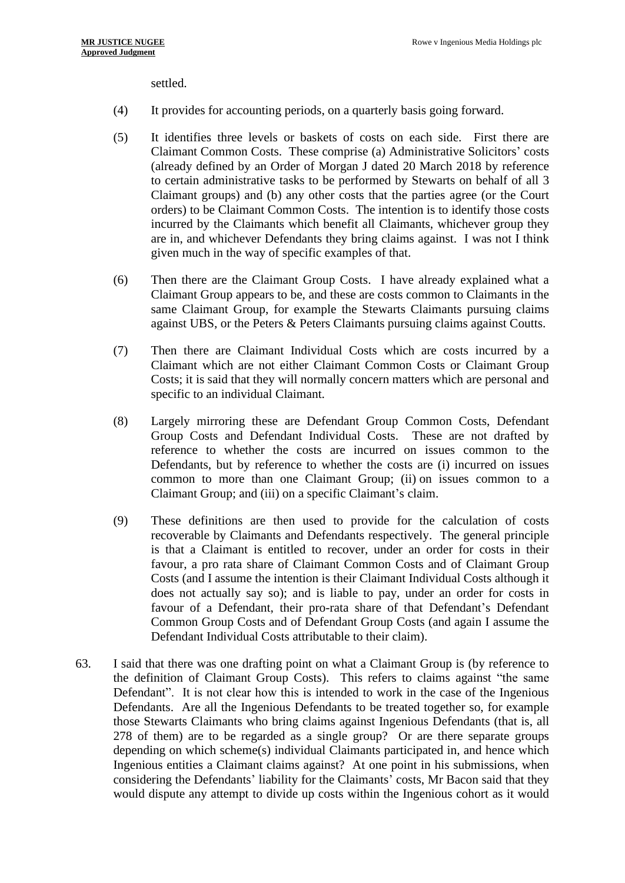settled.

- (4) It provides for accounting periods, on a quarterly basis going forward.
- (5) It identifies three levels or baskets of costs on each side. First there are Claimant Common Costs. These comprise (a) Administrative Solicitors' costs (already defined by an Order of Morgan J dated 20 March 2018 by reference to certain administrative tasks to be performed by Stewarts on behalf of all 3 Claimant groups) and (b) any other costs that the parties agree (or the Court orders) to be Claimant Common Costs. The intention is to identify those costs incurred by the Claimants which benefit all Claimants, whichever group they are in, and whichever Defendants they bring claims against. I was not I think given much in the way of specific examples of that.
- (6) Then there are the Claimant Group Costs. I have already explained what a Claimant Group appears to be, and these are costs common to Claimants in the same Claimant Group, for example the Stewarts Claimants pursuing claims against UBS, or the Peters & Peters Claimants pursuing claims against Coutts.
- (7) Then there are Claimant Individual Costs which are costs incurred by a Claimant which are not either Claimant Common Costs or Claimant Group Costs; it is said that they will normally concern matters which are personal and specific to an individual Claimant.
- (8) Largely mirroring these are Defendant Group Common Costs, Defendant Group Costs and Defendant Individual Costs. These are not drafted by reference to whether the costs are incurred on issues common to the Defendants, but by reference to whether the costs are (i) incurred on issues common to more than one Claimant Group; (ii) on issues common to a Claimant Group; and (iii) on a specific Claimant's claim.
- (9) These definitions are then used to provide for the calculation of costs recoverable by Claimants and Defendants respectively. The general principle is that a Claimant is entitled to recover, under an order for costs in their favour, a pro rata share of Claimant Common Costs and of Claimant Group Costs (and I assume the intention is their Claimant Individual Costs although it does not actually say so); and is liable to pay, under an order for costs in favour of a Defendant, their pro-rata share of that Defendant's Defendant Common Group Costs and of Defendant Group Costs (and again I assume the Defendant Individual Costs attributable to their claim).
- 63. I said that there was one drafting point on what a Claimant Group is (by reference to the definition of Claimant Group Costs). This refers to claims against "the same Defendant". It is not clear how this is intended to work in the case of the Ingenious Defendants. Are all the Ingenious Defendants to be treated together so, for example those Stewarts Claimants who bring claims against Ingenious Defendants (that is, all 278 of them) are to be regarded as a single group? Or are there separate groups depending on which scheme(s) individual Claimants participated in, and hence which Ingenious entities a Claimant claims against? At one point in his submissions, when considering the Defendants' liability for the Claimants' costs, Mr Bacon said that they would dispute any attempt to divide up costs within the Ingenious cohort as it would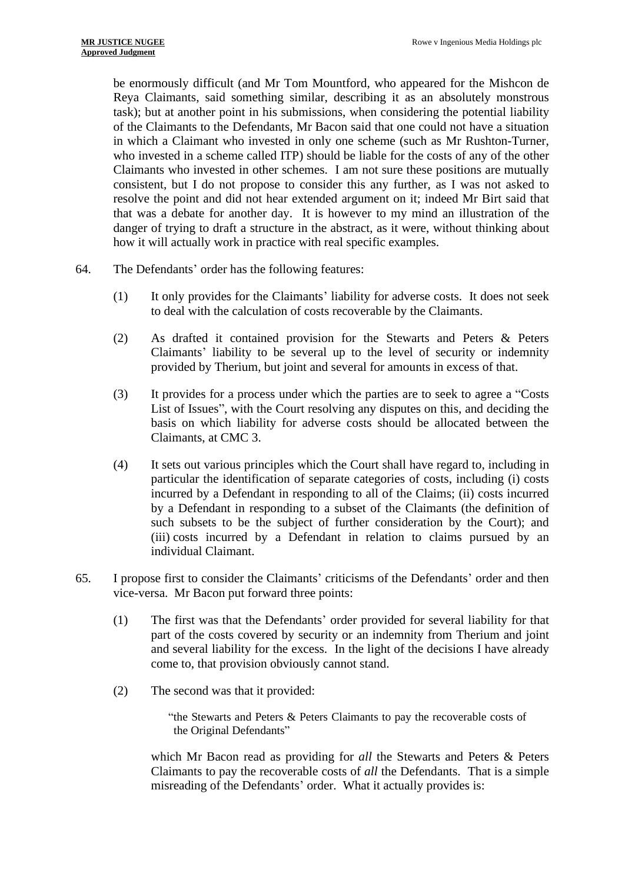be enormously difficult (and Mr Tom Mountford, who appeared for the Mishcon de Reya Claimants, said something similar, describing it as an absolutely monstrous task); but at another point in his submissions, when considering the potential liability of the Claimants to the Defendants, Mr Bacon said that one could not have a situation in which a Claimant who invested in only one scheme (such as Mr Rushton-Turner, who invested in a scheme called ITP) should be liable for the costs of any of the other Claimants who invested in other schemes. I am not sure these positions are mutually consistent, but I do not propose to consider this any further, as I was not asked to resolve the point and did not hear extended argument on it; indeed Mr Birt said that that was a debate for another day. It is however to my mind an illustration of the danger of trying to draft a structure in the abstract, as it were, without thinking about how it will actually work in practice with real specific examples.

- 64. The Defendants' order has the following features:
	- (1) It only provides for the Claimants' liability for adverse costs. It does not seek to deal with the calculation of costs recoverable by the Claimants.
	- (2) As drafted it contained provision for the Stewarts and Peters & Peters Claimants' liability to be several up to the level of security or indemnity provided by Therium, but joint and several for amounts in excess of that.
	- (3) It provides for a process under which the parties are to seek to agree a "Costs List of Issues", with the Court resolving any disputes on this, and deciding the basis on which liability for adverse costs should be allocated between the Claimants, at CMC 3.
	- (4) It sets out various principles which the Court shall have regard to, including in particular the identification of separate categories of costs, including (i) costs incurred by a Defendant in responding to all of the Claims; (ii) costs incurred by a Defendant in responding to a subset of the Claimants (the definition of such subsets to be the subject of further consideration by the Court); and (iii) costs incurred by a Defendant in relation to claims pursued by an individual Claimant.
- 65. I propose first to consider the Claimants' criticisms of the Defendants' order and then vice-versa. Mr Bacon put forward three points:
	- (1) The first was that the Defendants' order provided for several liability for that part of the costs covered by security or an indemnity from Therium and joint and several liability for the excess. In the light of the decisions I have already come to, that provision obviously cannot stand.
	- (2) The second was that it provided:

"the Stewarts and Peters & Peters Claimants to pay the recoverable costs of the Original Defendants"

which Mr Bacon read as providing for *all* the Stewarts and Peters & Peters Claimants to pay the recoverable costs of *all* the Defendants. That is a simple misreading of the Defendants' order. What it actually provides is: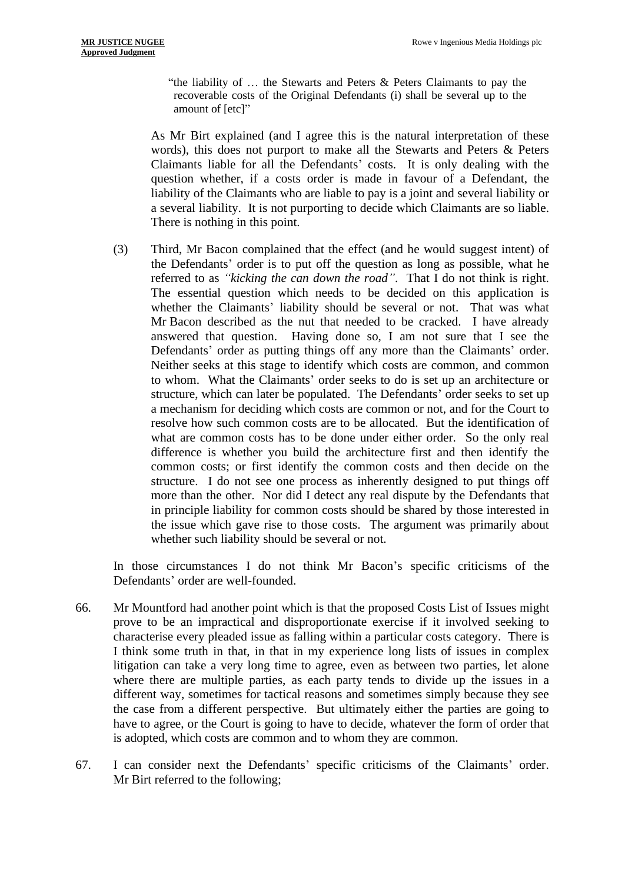"the liability of  $\ldots$  the Stewarts and Peters  $\&$  Peters Claimants to pay the recoverable costs of the Original Defendants (i) shall be several up to the amount of [etc]"

As Mr Birt explained (and I agree this is the natural interpretation of these words), this does not purport to make all the Stewarts and Peters & Peters Claimants liable for all the Defendants' costs. It is only dealing with the question whether, if a costs order is made in favour of a Defendant, the liability of the Claimants who are liable to pay is a joint and several liability or a several liability. It is not purporting to decide which Claimants are so liable. There is nothing in this point.

(3) Third, Mr Bacon complained that the effect (and he would suggest intent) of the Defendants' order is to put off the question as long as possible, what he referred to as *"kicking the can down the road"*. That I do not think is right. The essential question which needs to be decided on this application is whether the Claimants' liability should be several or not. That was what Mr Bacon described as the nut that needed to be cracked. I have already answered that question. Having done so, I am not sure that I see the Defendants' order as putting things off any more than the Claimants' order. Neither seeks at this stage to identify which costs are common, and common to whom. What the Claimants' order seeks to do is set up an architecture or structure, which can later be populated. The Defendants' order seeks to set up a mechanism for deciding which costs are common or not, and for the Court to resolve how such common costs are to be allocated. But the identification of what are common costs has to be done under either order. So the only real difference is whether you build the architecture first and then identify the common costs; or first identify the common costs and then decide on the structure. I do not see one process as inherently designed to put things off more than the other. Nor did I detect any real dispute by the Defendants that in principle liability for common costs should be shared by those interested in the issue which gave rise to those costs. The argument was primarily about whether such liability should be several or not.

In those circumstances I do not think Mr Bacon's specific criticisms of the Defendants' order are well-founded.

- 66. Mr Mountford had another point which is that the proposed Costs List of Issues might prove to be an impractical and disproportionate exercise if it involved seeking to characterise every pleaded issue as falling within a particular costs category. There is I think some truth in that, in that in my experience long lists of issues in complex litigation can take a very long time to agree, even as between two parties, let alone where there are multiple parties, as each party tends to divide up the issues in a different way, sometimes for tactical reasons and sometimes simply because they see the case from a different perspective. But ultimately either the parties are going to have to agree, or the Court is going to have to decide, whatever the form of order that is adopted, which costs are common and to whom they are common.
- 67. I can consider next the Defendants' specific criticisms of the Claimants' order. Mr Birt referred to the following;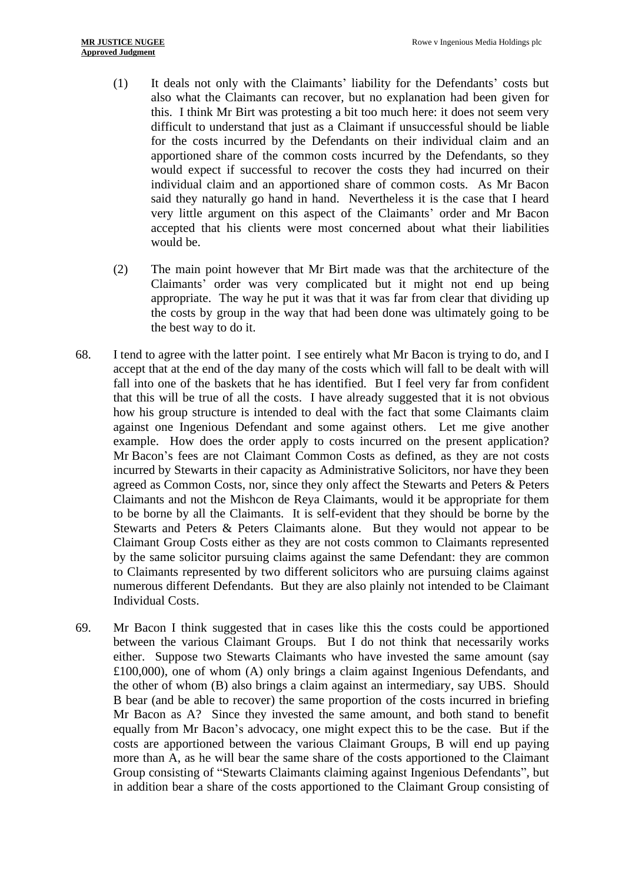- (1) It deals not only with the Claimants' liability for the Defendants' costs but also what the Claimants can recover, but no explanation had been given for this. I think Mr Birt was protesting a bit too much here: it does not seem very difficult to understand that just as a Claimant if unsuccessful should be liable for the costs incurred by the Defendants on their individual claim and an apportioned share of the common costs incurred by the Defendants, so they would expect if successful to recover the costs they had incurred on their individual claim and an apportioned share of common costs. As Mr Bacon said they naturally go hand in hand. Nevertheless it is the case that I heard very little argument on this aspect of the Claimants' order and Mr Bacon accepted that his clients were most concerned about what their liabilities would be.
- (2) The main point however that Mr Birt made was that the architecture of the Claimants' order was very complicated but it might not end up being appropriate. The way he put it was that it was far from clear that dividing up the costs by group in the way that had been done was ultimately going to be the best way to do it.
- 68. I tend to agree with the latter point. I see entirely what Mr Bacon is trying to do, and I accept that at the end of the day many of the costs which will fall to be dealt with will fall into one of the baskets that he has identified. But I feel very far from confident that this will be true of all the costs. I have already suggested that it is not obvious how his group structure is intended to deal with the fact that some Claimants claim against one Ingenious Defendant and some against others. Let me give another example. How does the order apply to costs incurred on the present application? Mr Bacon's fees are not Claimant Common Costs as defined, as they are not costs incurred by Stewarts in their capacity as Administrative Solicitors, nor have they been agreed as Common Costs, nor, since they only affect the Stewarts and Peters & Peters Claimants and not the Mishcon de Reya Claimants, would it be appropriate for them to be borne by all the Claimants. It is self-evident that they should be borne by the Stewarts and Peters & Peters Claimants alone. But they would not appear to be Claimant Group Costs either as they are not costs common to Claimants represented by the same solicitor pursuing claims against the same Defendant: they are common to Claimants represented by two different solicitors who are pursuing claims against numerous different Defendants. But they are also plainly not intended to be Claimant Individual Costs.
- 69. Mr Bacon I think suggested that in cases like this the costs could be apportioned between the various Claimant Groups. But I do not think that necessarily works either. Suppose two Stewarts Claimants who have invested the same amount (say £100,000), one of whom (A) only brings a claim against Ingenious Defendants, and the other of whom (B) also brings a claim against an intermediary, say UBS. Should B bear (and be able to recover) the same proportion of the costs incurred in briefing Mr Bacon as A? Since they invested the same amount, and both stand to benefit equally from Mr Bacon's advocacy, one might expect this to be the case. But if the costs are apportioned between the various Claimant Groups, B will end up paying more than A, as he will bear the same share of the costs apportioned to the Claimant Group consisting of "Stewarts Claimants claiming against Ingenious Defendants", but in addition bear a share of the costs apportioned to the Claimant Group consisting of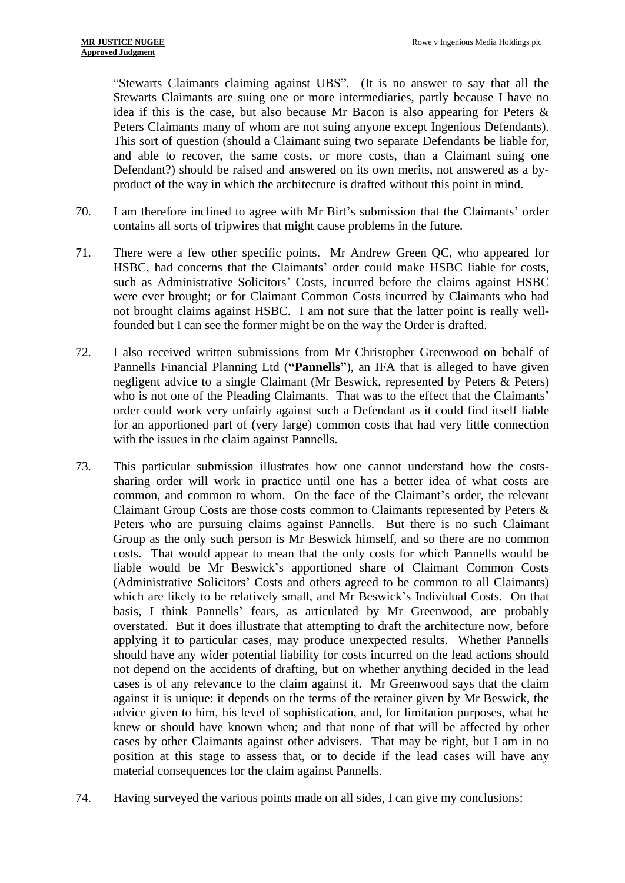"Stewarts Claimants claiming against UBS". (It is no answer to say that all the Stewarts Claimants are suing one or more intermediaries, partly because I have no idea if this is the case, but also because Mr Bacon is also appearing for Peters & Peters Claimants many of whom are not suing anyone except Ingenious Defendants). This sort of question (should a Claimant suing two separate Defendants be liable for, and able to recover, the same costs, or more costs, than a Claimant suing one Defendant?) should be raised and answered on its own merits, not answered as a byproduct of the way in which the architecture is drafted without this point in mind.

- 70. I am therefore inclined to agree with Mr Birt's submission that the Claimants' order contains all sorts of tripwires that might cause problems in the future.
- 71. There were a few other specific points. Mr Andrew Green QC, who appeared for HSBC, had concerns that the Claimants' order could make HSBC liable for costs, such as Administrative Solicitors' Costs, incurred before the claims against HSBC were ever brought; or for Claimant Common Costs incurred by Claimants who had not brought claims against HSBC. I am not sure that the latter point is really wellfounded but I can see the former might be on the way the Order is drafted.
- 72. I also received written submissions from Mr Christopher Greenwood on behalf of Pannells Financial Planning Ltd (**"Pannells"**), an IFA that is alleged to have given negligent advice to a single Claimant (Mr Beswick, represented by Peters & Peters) who is not one of the Pleading Claimants. That was to the effect that the Claimants' order could work very unfairly against such a Defendant as it could find itself liable for an apportioned part of (very large) common costs that had very little connection with the issues in the claim against Pannells.
- 73. This particular submission illustrates how one cannot understand how the costssharing order will work in practice until one has a better idea of what costs are common, and common to whom. On the face of the Claimant's order, the relevant Claimant Group Costs are those costs common to Claimants represented by Peters & Peters who are pursuing claims against Pannells. But there is no such Claimant Group as the only such person is Mr Beswick himself, and so there are no common costs. That would appear to mean that the only costs for which Pannells would be liable would be Mr Beswick's apportioned share of Claimant Common Costs (Administrative Solicitors' Costs and others agreed to be common to all Claimants) which are likely to be relatively small, and Mr Beswick's Individual Costs. On that basis, I think Pannells' fears, as articulated by Mr Greenwood, are probably overstated. But it does illustrate that attempting to draft the architecture now, before applying it to particular cases, may produce unexpected results. Whether Pannells should have any wider potential liability for costs incurred on the lead actions should not depend on the accidents of drafting, but on whether anything decided in the lead cases is of any relevance to the claim against it. Mr Greenwood says that the claim against it is unique: it depends on the terms of the retainer given by Mr Beswick, the advice given to him, his level of sophistication, and, for limitation purposes, what he knew or should have known when; and that none of that will be affected by other cases by other Claimants against other advisers. That may be right, but I am in no position at this stage to assess that, or to decide if the lead cases will have any material consequences for the claim against Pannells.
- 74. Having surveyed the various points made on all sides, I can give my conclusions: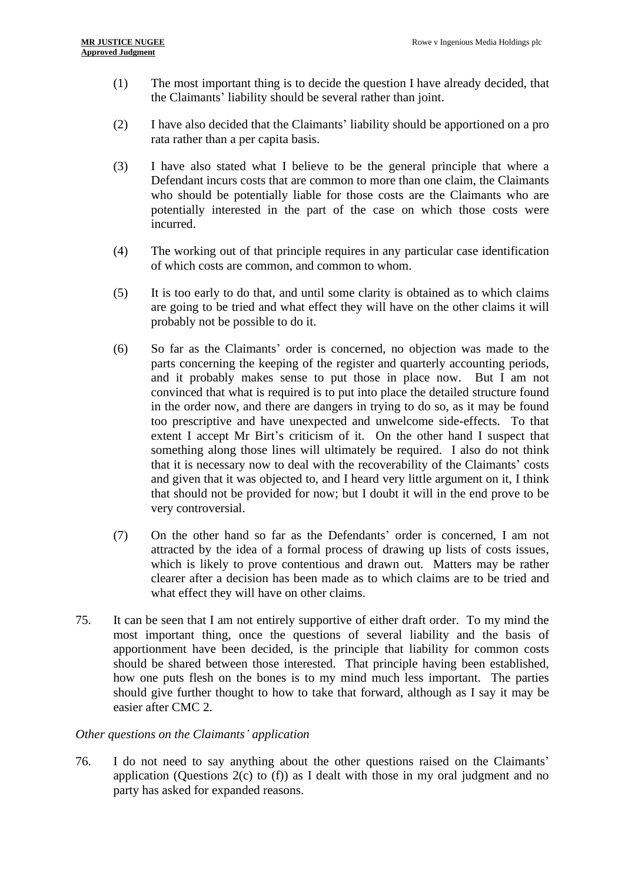- (1) The most important thing is to decide the question I have already decided, that the Claimants' liability should be several rather than joint.
- (2) I have also decided that the Claimants' liability should be apportioned on a pro rata rather than a per capita basis.
- (3) I have also stated what I believe to be the general principle that where a Defendant incurs costs that are common to more than one claim, the Claimants who should be potentially liable for those costs are the Claimants who are potentially interested in the part of the case on which those costs were incurred.
- (4) The working out of that principle requires in any particular case identification of which costs are common, and common to whom.
- (5) It is too early to do that, and until some clarity is obtained as to which claims are going to be tried and what effect they will have on the other claims it will probably not be possible to do it.
- (6) So far as the Claimants' order is concerned, no objection was made to the parts concerning the keeping of the register and quarterly accounting periods, and it probably makes sense to put those in place now. But I am not convinced that what is required is to put into place the detailed structure found in the order now, and there are dangers in trying to do so, as it may be found too prescriptive and have unexpected and unwelcome side-effects. To that extent I accept Mr Birt's criticism of it. On the other hand I suspect that something along those lines will ultimately be required. I also do not think that it is necessary now to deal with the recoverability of the Claimants' costs and given that it was objected to, and I heard very little argument on it, I think that should not be provided for now; but I doubt it will in the end prove to be very controversial.
- (7) On the other hand so far as the Defendants' order is concerned, I am not attracted by the idea of a formal process of drawing up lists of costs issues, which is likely to prove contentious and drawn out. Matters may be rather clearer after a decision has been made as to which claims are to be tried and what effect they will have on other claims.
- 75. It can be seen that I am not entirely supportive of either draft order. To my mind the most important thing, once the questions of several liability and the basis of apportionment have been decided, is the principle that liability for common costs should be shared between those interested. That principle having been established, how one puts flesh on the bones is to my mind much less important. The parties should give further thought to how to take that forward, although as I say it may be easier after CMC 2.

# *Other questions on the Claimants' application*

76. I do not need to say anything about the other questions raised on the Claimants' application (Questions  $2(c)$  to (f)) as I dealt with those in my oral judgment and no party has asked for expanded reasons.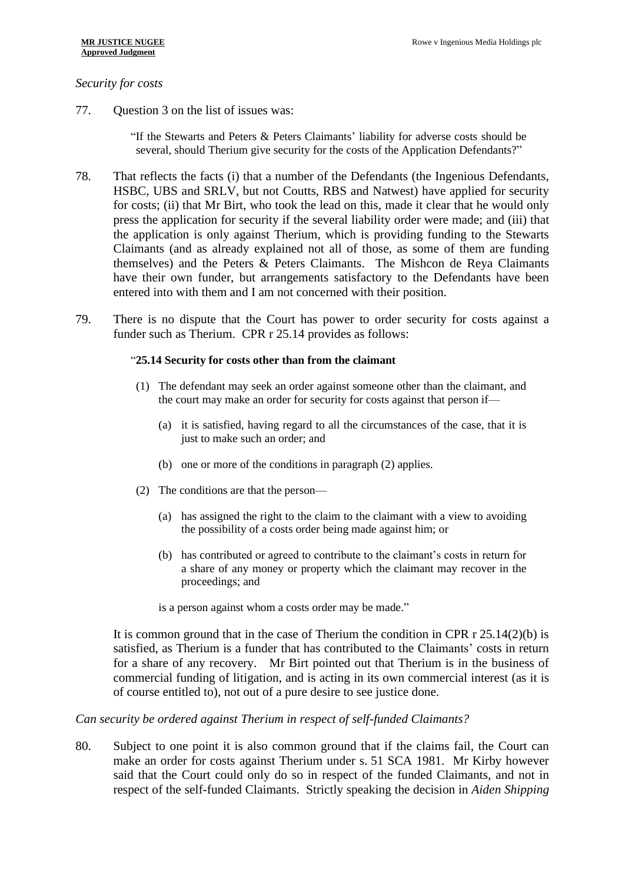#### *Security for costs*

77. Question 3 on the list of issues was:

"If the Stewarts and Peters & Peters Claimants' liability for adverse costs should be several, should Therium give security for the costs of the Application Defendants?"

- 78. That reflects the facts (i) that a number of the Defendants (the Ingenious Defendants, HSBC, UBS and SRLV, but not Coutts, RBS and Natwest) have applied for security for costs; (ii) that Mr Birt, who took the lead on this, made it clear that he would only press the application for security if the several liability order were made; and (iii) that the application is only against Therium, which is providing funding to the Stewarts Claimants (and as already explained not all of those, as some of them are funding themselves) and the Peters & Peters Claimants. The Mishcon de Reya Claimants have their own funder, but arrangements satisfactory to the Defendants have been entered into with them and I am not concerned with their position.
- 79. There is no dispute that the Court has power to order security for costs against a funder such as Therium. CPR r 25.14 provides as follows:

#### "**25.14 Security for costs other than from the claimant**

- (1) The defendant may seek an order against someone other than the claimant, and the court may make an order for security for costs against that person if—
	- (a) it is satisfied, having regard to all the circumstances of the case, that it is just to make such an order; and
	- (b) one or more of the conditions in paragraph (2) applies.
- (2) The conditions are that the person—
	- (a) has assigned the right to the claim to the claimant with a view to avoiding the possibility of a costs order being made against him; or
	- (b) has contributed or agreed to contribute to the claimant's costs in return for a share of any money or property which the claimant may recover in the proceedings; and

is a person against whom a costs order may be made."

It is common ground that in the case of Therium the condition in CPR r 25.14(2)(b) is satisfied, as Therium is a funder that has contributed to the Claimants' costs in return for a share of any recovery. Mr Birt pointed out that Therium is in the business of commercial funding of litigation, and is acting in its own commercial interest (as it is of course entitled to), not out of a pure desire to see justice done.

#### *Can security be ordered against Therium in respect of self-funded Claimants?*

80. Subject to one point it is also common ground that if the claims fail, the Court can make an order for costs against Therium under s. 51 SCA 1981. Mr Kirby however said that the Court could only do so in respect of the funded Claimants, and not in respect of the self-funded Claimants. Strictly speaking the decision in *Aiden Shipping*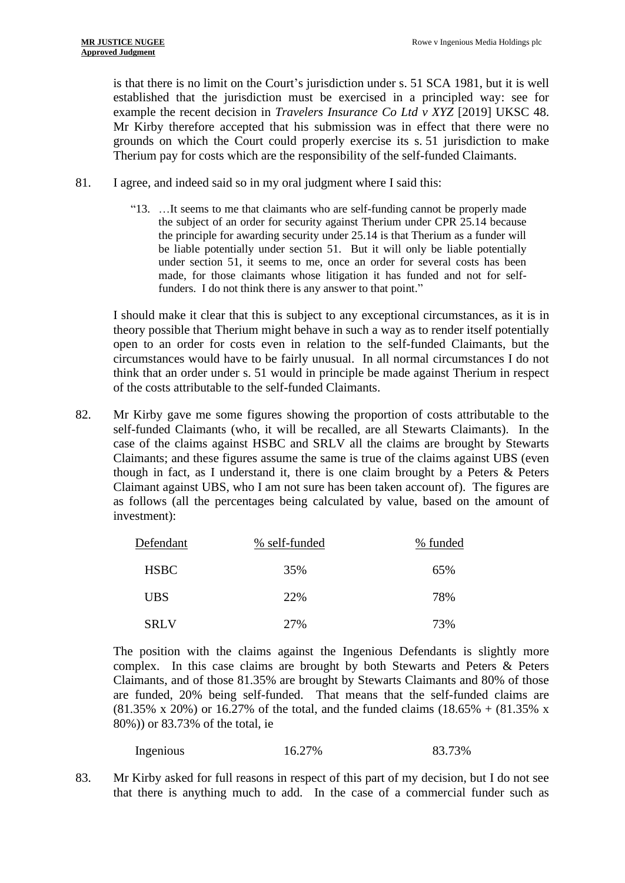is that there is no limit on the Court's jurisdiction under s. 51 SCA 1981, but it is well established that the jurisdiction must be exercised in a principled way: see for example the recent decision in *Travelers Insurance Co Ltd v XYZ* [2019] UKSC 48. Mr Kirby therefore accepted that his submission was in effect that there were no grounds on which the Court could properly exercise its s. 51 jurisdiction to make Therium pay for costs which are the responsibility of the self-funded Claimants.

- 81. I agree, and indeed said so in my oral judgment where I said this:
	- "13. …It seems to me that claimants who are self-funding cannot be properly made the subject of an order for security against Therium under CPR 25.14 because the principle for awarding security under 25.14 is that Therium as a funder will be liable potentially under section 51. But it will only be liable potentially under section 51, it seems to me, once an order for several costs has been made, for those claimants whose litigation it has funded and not for selffunders. I do not think there is any answer to that point."

I should make it clear that this is subject to any exceptional circumstances, as it is in theory possible that Therium might behave in such a way as to render itself potentially open to an order for costs even in relation to the self-funded Claimants, but the circumstances would have to be fairly unusual. In all normal circumstances I do not think that an order under s. 51 would in principle be made against Therium in respect of the costs attributable to the self-funded Claimants.

82. Mr Kirby gave me some figures showing the proportion of costs attributable to the self-funded Claimants (who, it will be recalled, are all Stewarts Claimants). In the case of the claims against HSBC and SRLV all the claims are brought by Stewarts Claimants; and these figures assume the same is true of the claims against UBS (even though in fact, as I understand it, there is one claim brought by a Peters  $\&$  Peters Claimant against UBS, who I am not sure has been taken account of). The figures are as follows (all the percentages being calculated by value, based on the amount of investment):

| Defendant   | % self-funded | % funded |
|-------------|---------------|----------|
| <b>HSBC</b> | 35%           | 65%      |
| <b>UBS</b>  | 22%           | 78%      |
| <b>SRLV</b> | 27%           | 73%      |

The position with the claims against the Ingenious Defendants is slightly more complex. In this case claims are brought by both Stewarts and Peters & Peters Claimants, and of those 81.35% are brought by Stewarts Claimants and 80% of those are funded, 20% being self-funded. That means that the self-funded claims are  $(81.35\% \times 20\%)$  or 16.27% of the total, and the funded claims  $(18.65\% + (81.35\% \times 10^{-19})$ 80%)) or 83.73% of the total, ie

| Ingenious | 16.27% | 83.73% |
|-----------|--------|--------|
|-----------|--------|--------|

83. Mr Kirby asked for full reasons in respect of this part of my decision, but I do not see that there is anything much to add. In the case of a commercial funder such as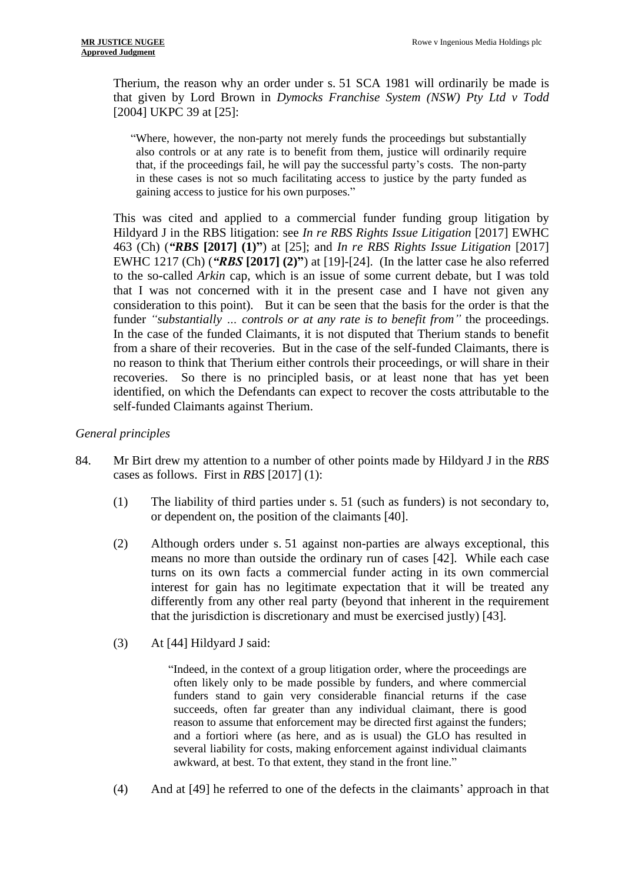Therium, the reason why an order under s. 51 SCA 1981 will ordinarily be made is that given by Lord Brown in *Dymocks Franchise System (NSW) Pty Ltd v Todd*  [2004] UKPC 39 at [25]:

"Where, however, the non-party not merely funds the proceedings but substantially also controls or at any rate is to benefit from them, justice will ordinarily require that, if the proceedings fail, he will pay the successful party's costs. The non-party in these cases is not so much facilitating access to justice by the party funded as gaining access to justice for his own purposes."

This was cited and applied to a commercial funder funding group litigation by Hildyard J in the RBS litigation: see *In re RBS Rights Issue Litigation* [2017] EWHC 463 (Ch) (*"RBS* **[2017] (1)"**) at [25]; and *In re RBS Rights Issue Litigation* [2017] EWHC 1217 (Ch) (*"RBS* **[2017] (2)"**) at [19]-[24]. (In the latter case he also referred to the so-called *Arkin* cap, which is an issue of some current debate, but I was told that I was not concerned with it in the present case and I have not given any consideration to this point). But it can be seen that the basis for the order is that the funder *"substantially … controls or at any rate is to benefit from"* the proceedings. In the case of the funded Claimants, it is not disputed that Therium stands to benefit from a share of their recoveries. But in the case of the self-funded Claimants, there is no reason to think that Therium either controls their proceedings, or will share in their recoveries. So there is no principled basis, or at least none that has yet been identified, on which the Defendants can expect to recover the costs attributable to the self-funded Claimants against Therium.

## *General principles*

- 84. Mr Birt drew my attention to a number of other points made by Hildyard J in the *RBS*  cases as follows. First in *RBS* [2017] (1):
	- (1) The liability of third parties under s. 51 (such as funders) is not secondary to, or dependent on, the position of the claimants [40].
	- (2) Although orders under s. 51 against non-parties are always exceptional, this means no more than outside the ordinary run of cases [42]. While each case turns on its own facts a commercial funder acting in its own commercial interest for gain has no legitimate expectation that it will be treated any differently from any other real party (beyond that inherent in the requirement that the jurisdiction is discretionary and must be exercised justly) [43].
	- (3) At [44] Hildyard J said:

"Indeed, in the context of a group litigation order, where the proceedings are often likely only to be made possible by funders, and where commercial funders stand to gain very considerable financial returns if the case succeeds, often far greater than any individual claimant, there is good reason to assume that enforcement may be directed first against the funders; and a fortiori where (as here, and as is usual) the GLO has resulted in several liability for costs, making enforcement against individual claimants awkward, at best. To that extent, they stand in the front line."

(4) And at [49] he referred to one of the defects in the claimants' approach in that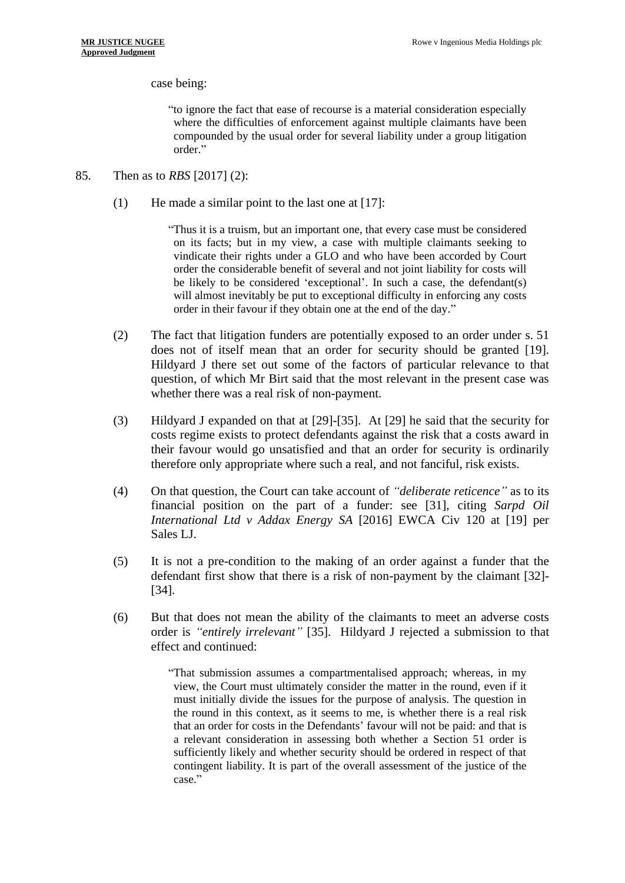case being:

"to ignore the fact that ease of recourse is a material consideration especially where the difficulties of enforcement against multiple claimants have been compounded by the usual order for several liability under a group litigation order."

- 85. Then as to *RBS* [2017] (2):
	- (1) He made a similar point to the last one at [17]:

"Thus it is a truism, but an important one, that every case must be considered on its facts; but in my view, a case with multiple claimants seeking to vindicate their rights under a GLO and who have been accorded by Court order the considerable benefit of several and not joint liability for costs will be likely to be considered 'exceptional'. In such a case, the defendant(s) will almost inevitably be put to exceptional difficulty in enforcing any costs order in their favour if they obtain one at the end of the day."

- (2) The fact that litigation funders are potentially exposed to an order under s. 51 does not of itself mean that an order for security should be granted [19]. Hildyard J there set out some of the factors of particular relevance to that question, of which Mr Birt said that the most relevant in the present case was whether there was a real risk of non-payment.
- (3) Hildyard J expanded on that at [29]-[35]. At [29] he said that the security for costs regime exists to protect defendants against the risk that a costs award in their favour would go unsatisfied and that an order for security is ordinarily therefore only appropriate where such a real, and not fanciful, risk exists.
- (4) On that question, the Court can take account of *"deliberate reticence"* as to its financial position on the part of a funder: see [31], citing *Sarpd Oil International Ltd v Addax Energy SA* [2016] EWCA Civ 120 at [19] per Sales LJ.
- (5) It is not a pre-condition to the making of an order against a funder that the defendant first show that there is a risk of non-payment by the claimant [32]- [34].
- (6) But that does not mean the ability of the claimants to meet an adverse costs order is *"entirely irrelevant"* [35]. Hildyard J rejected a submission to that effect and continued:

"That submission assumes a compartmentalised approach; whereas, in my view, the Court must ultimately consider the matter in the round, even if it must initially divide the issues for the purpose of analysis. The question in the round in this context, as it seems to me, is whether there is a real risk that an order for costs in the Defendants' favour will not be paid: and that is a relevant consideration in assessing both whether a Section 51 order is sufficiently likely and whether security should be ordered in respect of that contingent liability. It is part of the overall assessment of the justice of the case."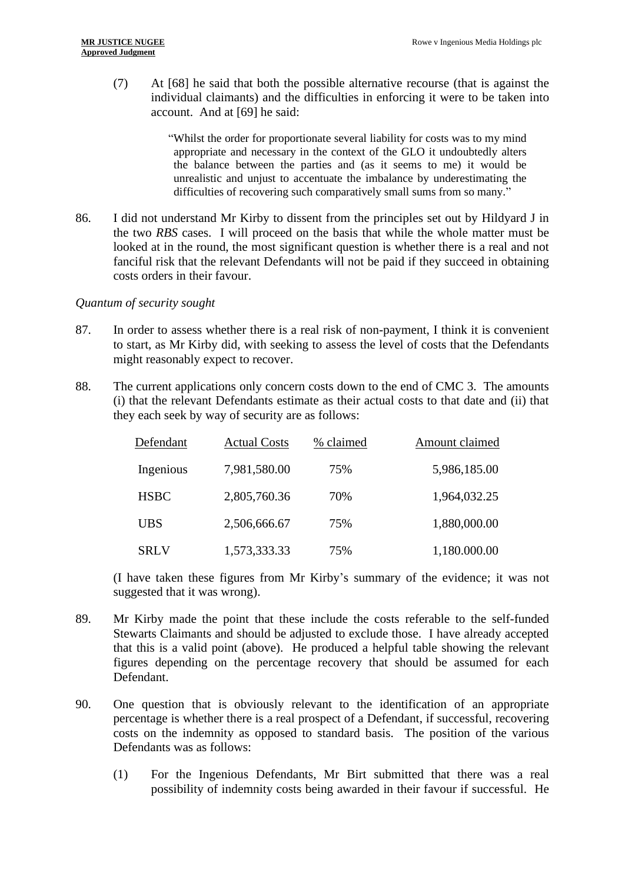(7) At [68] he said that both the possible alternative recourse (that is against the individual claimants) and the difficulties in enforcing it were to be taken into account. And at [69] he said:

> "Whilst the order for proportionate several liability for costs was to my mind appropriate and necessary in the context of the GLO it undoubtedly alters the balance between the parties and (as it seems to me) it would be unrealistic and unjust to accentuate the imbalance by underestimating the difficulties of recovering such comparatively small sums from so many."

86. I did not understand Mr Kirby to dissent from the principles set out by Hildyard J in the two *RBS* cases. I will proceed on the basis that while the whole matter must be looked at in the round, the most significant question is whether there is a real and not fanciful risk that the relevant Defendants will not be paid if they succeed in obtaining costs orders in their favour.

## *Quantum of security sought*

- 87. In order to assess whether there is a real risk of non-payment, I think it is convenient to start, as Mr Kirby did, with seeking to assess the level of costs that the Defendants might reasonably expect to recover.
- 88. The current applications only concern costs down to the end of CMC 3. The amounts (i) that the relevant Defendants estimate as their actual costs to that date and (ii) that they each seek by way of security are as follows:

| Defendant   | <b>Actual Costs</b> | % claimed | Amount claimed |
|-------------|---------------------|-----------|----------------|
| Ingenious   | 7,981,580.00        | 75%       | 5,986,185.00   |
| <b>HSBC</b> | 2,805,760.36        | 70%       | 1,964,032.25   |
| <b>UBS</b>  | 2,506,666.67        | 75%       | 1,880,000.00   |
| <b>SRLV</b> | 1,573,333.33        | 75%       | 1,180.000.00   |

(I have taken these figures from Mr Kirby's summary of the evidence; it was not suggested that it was wrong).

- 89. Mr Kirby made the point that these include the costs referable to the self-funded Stewarts Claimants and should be adjusted to exclude those. I have already accepted that this is a valid point (above). He produced a helpful table showing the relevant figures depending on the percentage recovery that should be assumed for each Defendant.
- 90. One question that is obviously relevant to the identification of an appropriate percentage is whether there is a real prospect of a Defendant, if successful, recovering costs on the indemnity as opposed to standard basis. The position of the various Defendants was as follows:
	- (1) For the Ingenious Defendants, Mr Birt submitted that there was a real possibility of indemnity costs being awarded in their favour if successful. He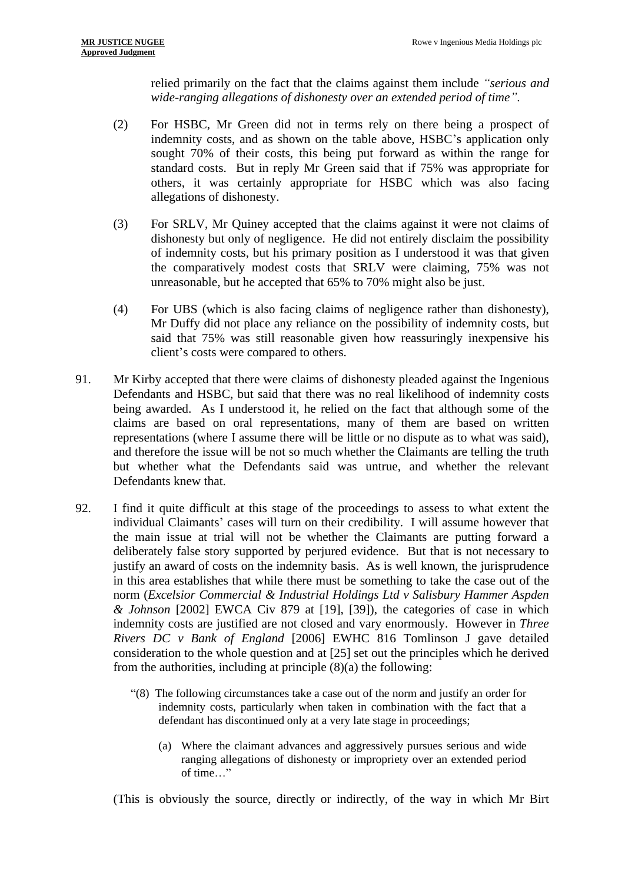relied primarily on the fact that the claims against them include *"serious and wide-ranging allegations of dishonesty over an extended period of time"*.

- (2) For HSBC, Mr Green did not in terms rely on there being a prospect of indemnity costs, and as shown on the table above, HSBC's application only sought 70% of their costs, this being put forward as within the range for standard costs. But in reply Mr Green said that if 75% was appropriate for others, it was certainly appropriate for HSBC which was also facing allegations of dishonesty.
- (3) For SRLV, Mr Quiney accepted that the claims against it were not claims of dishonesty but only of negligence. He did not entirely disclaim the possibility of indemnity costs, but his primary position as I understood it was that given the comparatively modest costs that SRLV were claiming, 75% was not unreasonable, but he accepted that 65% to 70% might also be just.
- (4) For UBS (which is also facing claims of negligence rather than dishonesty), Mr Duffy did not place any reliance on the possibility of indemnity costs, but said that 75% was still reasonable given how reassuringly inexpensive his client's costs were compared to others.
- 91. Mr Kirby accepted that there were claims of dishonesty pleaded against the Ingenious Defendants and HSBC, but said that there was no real likelihood of indemnity costs being awarded. As I understood it, he relied on the fact that although some of the claims are based on oral representations, many of them are based on written representations (where I assume there will be little or no dispute as to what was said), and therefore the issue will be not so much whether the Claimants are telling the truth but whether what the Defendants said was untrue, and whether the relevant Defendants knew that.
- 92. I find it quite difficult at this stage of the proceedings to assess to what extent the individual Claimants' cases will turn on their credibility. I will assume however that the main issue at trial will not be whether the Claimants are putting forward a deliberately false story supported by perjured evidence. But that is not necessary to justify an award of costs on the indemnity basis. As is well known, the jurisprudence in this area establishes that while there must be something to take the case out of the norm (*Excelsior Commercial & Industrial Holdings Ltd v Salisbury Hammer Aspden & Johnson* [2002] EWCA Civ 879 at [19], [39]), the categories of case in which indemnity costs are justified are not closed and vary enormously. However in *Three Rivers DC v Bank of England* [2006] EWHC 816 Tomlinson J gave detailed consideration to the whole question and at [25] set out the principles which he derived from the authorities, including at principle (8)(a) the following:
	- "(8) The following circumstances take a case out of the norm and justify an order for indemnity costs, particularly when taken in combination with the fact that a defendant has discontinued only at a very late stage in proceedings;
		- (a) Where the claimant advances and aggressively pursues serious and wide ranging allegations of dishonesty or impropriety over an extended period of time…"

(This is obviously the source, directly or indirectly, of the way in which Mr Birt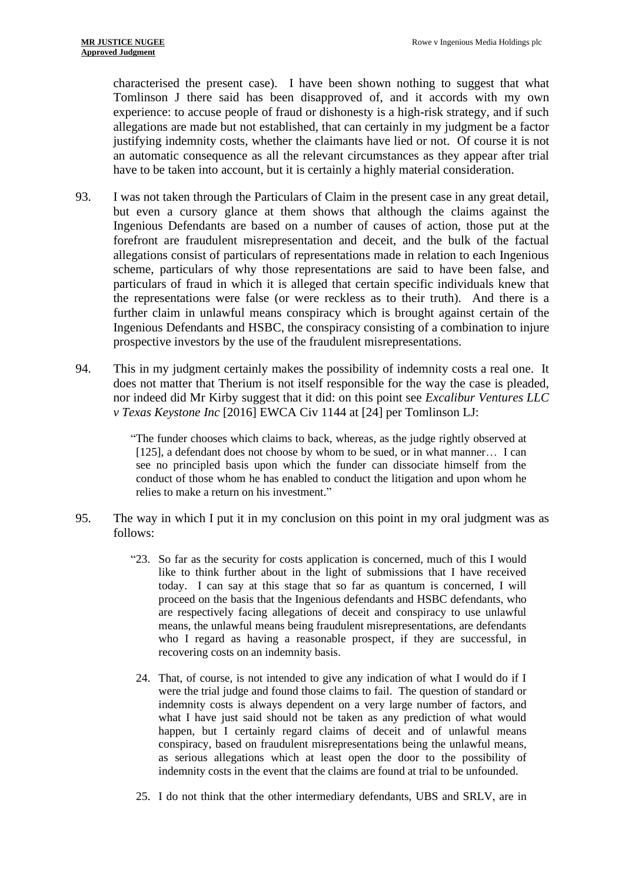characterised the present case). I have been shown nothing to suggest that what Tomlinson J there said has been disapproved of, and it accords with my own experience: to accuse people of fraud or dishonesty is a high-risk strategy, and if such allegations are made but not established, that can certainly in my judgment be a factor justifying indemnity costs, whether the claimants have lied or not. Of course it is not an automatic consequence as all the relevant circumstances as they appear after trial have to be taken into account, but it is certainly a highly material consideration.

- 93. I was not taken through the Particulars of Claim in the present case in any great detail, but even a cursory glance at them shows that although the claims against the Ingenious Defendants are based on a number of causes of action, those put at the forefront are fraudulent misrepresentation and deceit, and the bulk of the factual allegations consist of particulars of representations made in relation to each Ingenious scheme, particulars of why those representations are said to have been false, and particulars of fraud in which it is alleged that certain specific individuals knew that the representations were false (or were reckless as to their truth). And there is a further claim in unlawful means conspiracy which is brought against certain of the Ingenious Defendants and HSBC, the conspiracy consisting of a combination to injure prospective investors by the use of the fraudulent misrepresentations.
- 94. This in my judgment certainly makes the possibility of indemnity costs a real one. It does not matter that Therium is not itself responsible for the way the case is pleaded, nor indeed did Mr Kirby suggest that it did: on this point see *Excalibur Ventures LLC v Texas Keystone Inc* [2016] EWCA Civ 1144 at [24] per Tomlinson LJ:

"The funder chooses which claims to back, whereas, as the judge rightly observed at [125], a defendant does not choose by whom to be sued, or in what manner... I can see no principled basis upon which the funder can dissociate himself from the conduct of those whom he has enabled to conduct the litigation and upon whom he relies to make a return on his investment."

- 95. The way in which I put it in my conclusion on this point in my oral judgment was as follows:
	- "23. So far as the security for costs application is concerned, much of this I would like to think further about in the light of submissions that I have received today. I can say at this stage that so far as quantum is concerned, I will proceed on the basis that the Ingenious defendants and HSBC defendants, who are respectively facing allegations of deceit and conspiracy to use unlawful means, the unlawful means being fraudulent misrepresentations, are defendants who I regard as having a reasonable prospect, if they are successful, in recovering costs on an indemnity basis.
	- 24. That, of course, is not intended to give any indication of what I would do if I were the trial judge and found those claims to fail. The question of standard or indemnity costs is always dependent on a very large number of factors, and what I have just said should not be taken as any prediction of what would happen, but I certainly regard claims of deceit and of unlawful means conspiracy, based on fraudulent misrepresentations being the unlawful means, as serious allegations which at least open the door to the possibility of indemnity costs in the event that the claims are found at trial to be unfounded.
	- 25. I do not think that the other intermediary defendants, UBS and SRLV, are in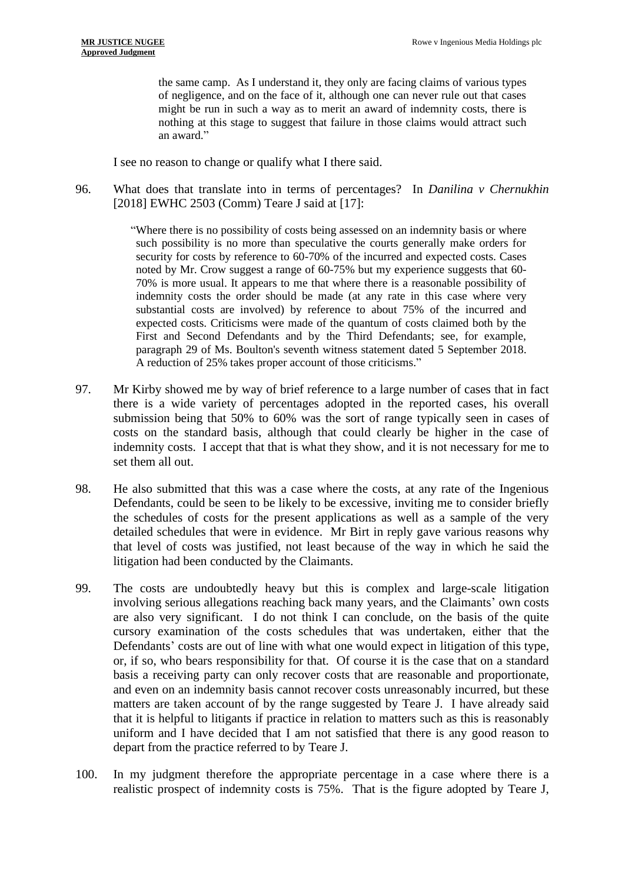the same camp. As I understand it, they only are facing claims of various types of negligence, and on the face of it, although one can never rule out that cases might be run in such a way as to merit an award of indemnity costs, there is nothing at this stage to suggest that failure in those claims would attract such an award."

I see no reason to change or qualify what I there said.

96. What does that translate into in terms of percentages? In *Danilina v Chernukhin* [2018] EWHC 2503 (Comm) Teare J said at [17]:

> "Where there is no possibility of costs being assessed on an indemnity basis or where such possibility is no more than speculative the courts generally make orders for security for costs by reference to 60-70% of the incurred and expected costs. Cases noted by Mr. Crow suggest a range of 60-75% but my experience suggests that 60- 70% is more usual. It appears to me that where there is a reasonable possibility of indemnity costs the order should be made (at any rate in this case where very substantial costs are involved) by reference to about 75% of the incurred and expected costs. Criticisms were made of the quantum of costs claimed both by the First and Second Defendants and by the Third Defendants; see, for example, paragraph 29 of Ms. Boulton's seventh witness statement dated 5 September 2018. A reduction of 25% takes proper account of those criticisms."

- 97. Mr Kirby showed me by way of brief reference to a large number of cases that in fact there is a wide variety of percentages adopted in the reported cases, his overall submission being that 50% to 60% was the sort of range typically seen in cases of costs on the standard basis, although that could clearly be higher in the case of indemnity costs. I accept that that is what they show, and it is not necessary for me to set them all out.
- 98. He also submitted that this was a case where the costs, at any rate of the Ingenious Defendants, could be seen to be likely to be excessive, inviting me to consider briefly the schedules of costs for the present applications as well as a sample of the very detailed schedules that were in evidence. Mr Birt in reply gave various reasons why that level of costs was justified, not least because of the way in which he said the litigation had been conducted by the Claimants.
- 99. The costs are undoubtedly heavy but this is complex and large-scale litigation involving serious allegations reaching back many years, and the Claimants' own costs are also very significant. I do not think I can conclude, on the basis of the quite cursory examination of the costs schedules that was undertaken, either that the Defendants' costs are out of line with what one would expect in litigation of this type, or, if so, who bears responsibility for that. Of course it is the case that on a standard basis a receiving party can only recover costs that are reasonable and proportionate, and even on an indemnity basis cannot recover costs unreasonably incurred, but these matters are taken account of by the range suggested by Teare J. I have already said that it is helpful to litigants if practice in relation to matters such as this is reasonably uniform and I have decided that I am not satisfied that there is any good reason to depart from the practice referred to by Teare J.
- 100. In my judgment therefore the appropriate percentage in a case where there is a realistic prospect of indemnity costs is 75%. That is the figure adopted by Teare J,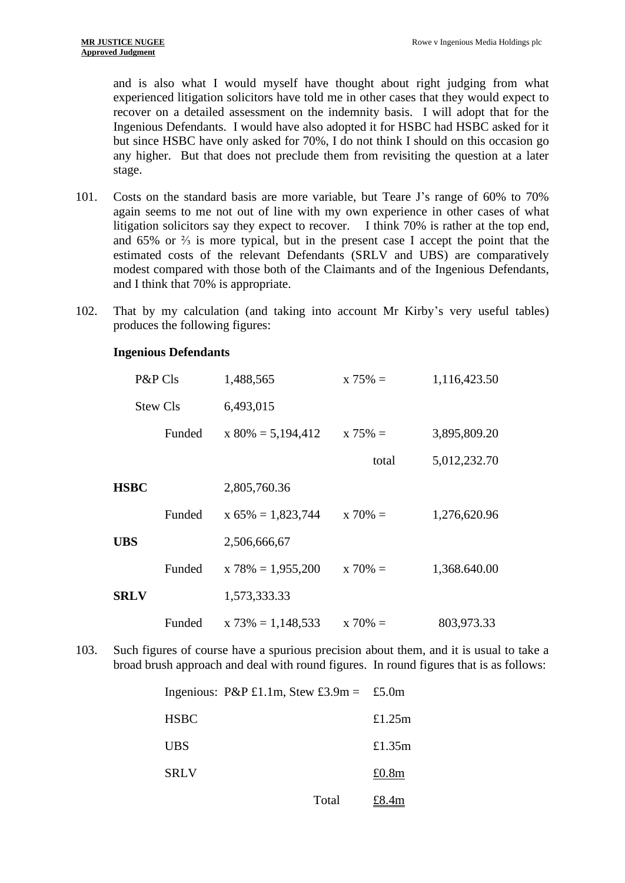and is also what I would myself have thought about right judging from what experienced litigation solicitors have told me in other cases that they would expect to recover on a detailed assessment on the indemnity basis. I will adopt that for the Ingenious Defendants. I would have also adopted it for HSBC had HSBC asked for it but since HSBC have only asked for 70%, I do not think I should on this occasion go any higher. But that does not preclude them from revisiting the question at a later stage.

- 101. Costs on the standard basis are more variable, but Teare J's range of 60% to 70% again seems to me not out of line with my own experience in other cases of what litigation solicitors say they expect to recover. I think 70% is rather at the top end, and 65% or ⅔ is more typical, but in the present case I accept the point that the estimated costs of the relevant Defendants (SRLV and UBS) are comparatively modest compared with those both of the Claimants and of the Ingenious Defendants, and I think that 70% is appropriate.
- 102. That by my calculation (and taking into account Mr Kirby's very useful tables) produces the following figures:

| P&P Cls     |                 | 1,488,565            | $x 75\% =$  | 1,116,423.50 |
|-------------|-----------------|----------------------|-------------|--------------|
|             | <b>Stew Cls</b> | 6,493,015            |             |              |
|             | Funded          | $x 80\% = 5,194,412$ | $x 75\% =$  | 3,895,809.20 |
|             |                 |                      | total       | 5,012,232.70 |
| <b>HSBC</b> |                 | 2,805,760.36         |             |              |
|             | Funded          | $x 65\% = 1,823,744$ | $x\ 70\% =$ | 1,276,620.96 |
| <b>UBS</b>  |                 | 2,506,666,67         |             |              |
|             | Funded          | $x 78\% = 1,955,200$ | $x 70\% =$  | 1,368.640.00 |
| <b>SRLV</b> |                 | 1,573,333.33         |             |              |
|             | Funded          | $x 73\% = 1,148,533$ | $x\ 70\% =$ | 803,973.33   |

#### **Ingenious Defendants**

103. Such figures of course have a spurious precision about them, and it is usual to take a broad brush approach and deal with round figures. In round figures that is as follows:

Ingenious:  $P\&P \&1.1m$ , Stew £3.9m = £5.0m

| <b>HSBC</b> |       | £1.25 $m$ |
|-------------|-------|-----------|
| UBS         |       | £1.35m    |
| <b>SRLV</b> |       | £0.8m     |
|             | Total | £8.4m     |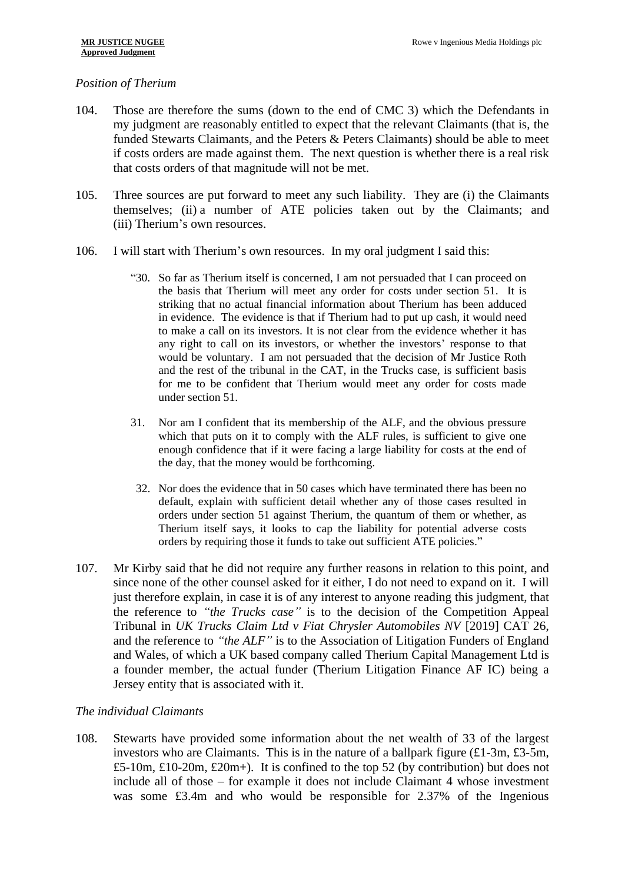## *Position of Therium*

- 104. Those are therefore the sums (down to the end of CMC 3) which the Defendants in my judgment are reasonably entitled to expect that the relevant Claimants (that is, the funded Stewarts Claimants, and the Peters & Peters Claimants) should be able to meet if costs orders are made against them. The next question is whether there is a real risk that costs orders of that magnitude will not be met.
- 105. Three sources are put forward to meet any such liability. They are (i) the Claimants themselves; (ii) a number of ATE policies taken out by the Claimants; and (iii) Therium's own resources.
- 106. I will start with Therium's own resources. In my oral judgment I said this:
	- "30. So far as Therium itself is concerned, I am not persuaded that I can proceed on the basis that Therium will meet any order for costs under section 51. It is striking that no actual financial information about Therium has been adduced in evidence. The evidence is that if Therium had to put up cash, it would need to make a call on its investors. It is not clear from the evidence whether it has any right to call on its investors, or whether the investors' response to that would be voluntary. I am not persuaded that the decision of Mr Justice Roth and the rest of the tribunal in the CAT, in the Trucks case, is sufficient basis for me to be confident that Therium would meet any order for costs made under section 51.
	- 31. Nor am I confident that its membership of the ALF, and the obvious pressure which that puts on it to comply with the ALF rules, is sufficient to give one enough confidence that if it were facing a large liability for costs at the end of the day, that the money would be forthcoming.
	- 32. Nor does the evidence that in 50 cases which have terminated there has been no default, explain with sufficient detail whether any of those cases resulted in orders under section 51 against Therium, the quantum of them or whether, as Therium itself says, it looks to cap the liability for potential adverse costs orders by requiring those it funds to take out sufficient ATE policies."
- 107. Mr Kirby said that he did not require any further reasons in relation to this point, and since none of the other counsel asked for it either, I do not need to expand on it. I will just therefore explain, in case it is of any interest to anyone reading this judgment, that the reference to *"the Trucks case"* is to the decision of the Competition Appeal Tribunal in *UK Trucks Claim Ltd v Fiat Chrysler Automobiles NV* [2019] CAT 26, and the reference to *"the ALF"* is to the Association of Litigation Funders of England and Wales, of which a UK based company called Therium Capital Management Ltd is a founder member, the actual funder (Therium Litigation Finance AF IC) being a Jersey entity that is associated with it.

## *The individual Claimants*

108. Stewarts have provided some information about the net wealth of 33 of the largest investors who are Claimants. This is in the nature of a ballpark figure  $(\text{\textsterling}1-3m, \text{\textsterling}3-5m,$ £5-10m, £10-20m, £20m+). It is confined to the top 52 (by contribution) but does not include all of those – for example it does not include Claimant 4 whose investment was some £3.4m and who would be responsible for 2.37% of the Ingenious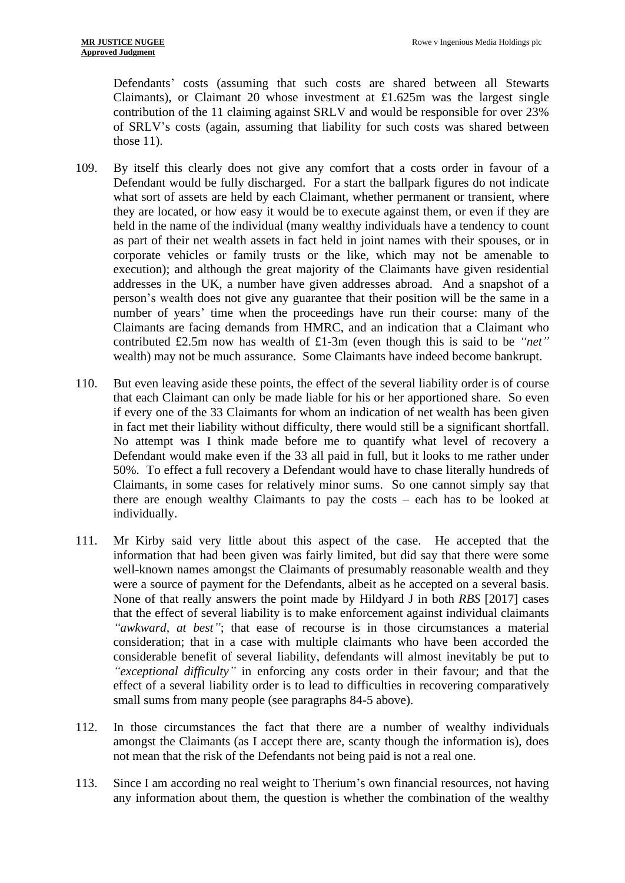Defendants' costs (assuming that such costs are shared between all Stewarts Claimants), or Claimant 20 whose investment at £1.625m was the largest single contribution of the 11 claiming against SRLV and would be responsible for over 23% of SRLV's costs (again, assuming that liability for such costs was shared between those  $11$ ).

- 109. By itself this clearly does not give any comfort that a costs order in favour of a Defendant would be fully discharged. For a start the ballpark figures do not indicate what sort of assets are held by each Claimant, whether permanent or transient, where they are located, or how easy it would be to execute against them, or even if they are held in the name of the individual (many wealthy individuals have a tendency to count as part of their net wealth assets in fact held in joint names with their spouses, or in corporate vehicles or family trusts or the like, which may not be amenable to execution); and although the great majority of the Claimants have given residential addresses in the UK, a number have given addresses abroad. And a snapshot of a person's wealth does not give any guarantee that their position will be the same in a number of years' time when the proceedings have run their course: many of the Claimants are facing demands from HMRC, and an indication that a Claimant who contributed £2.5m now has wealth of £1-3m (even though this is said to be *"net"* wealth) may not be much assurance. Some Claimants have indeed become bankrupt.
- 110. But even leaving aside these points, the effect of the several liability order is of course that each Claimant can only be made liable for his or her apportioned share. So even if every one of the 33 Claimants for whom an indication of net wealth has been given in fact met their liability without difficulty, there would still be a significant shortfall. No attempt was I think made before me to quantify what level of recovery a Defendant would make even if the 33 all paid in full, but it looks to me rather under 50%. To effect a full recovery a Defendant would have to chase literally hundreds of Claimants, in some cases for relatively minor sums. So one cannot simply say that there are enough wealthy Claimants to pay the costs – each has to be looked at individually.
- 111. Mr Kirby said very little about this aspect of the case. He accepted that the information that had been given was fairly limited, but did say that there were some well-known names amongst the Claimants of presumably reasonable wealth and they were a source of payment for the Defendants, albeit as he accepted on a several basis. None of that really answers the point made by Hildyard J in both *RBS* [2017] cases that the effect of several liability is to make enforcement against individual claimants *"awkward, at best"*; that ease of recourse is in those circumstances a material consideration; that in a case with multiple claimants who have been accorded the considerable benefit of several liability, defendants will almost inevitably be put to *"exceptional difficulty"* in enforcing any costs order in their favour; and that the effect of a several liability order is to lead to difficulties in recovering comparatively small sums from many people (see paragraphs 84-5 above).
- 112. In those circumstances the fact that there are a number of wealthy individuals amongst the Claimants (as I accept there are, scanty though the information is), does not mean that the risk of the Defendants not being paid is not a real one.
- 113. Since I am according no real weight to Therium's own financial resources, not having any information about them, the question is whether the combination of the wealthy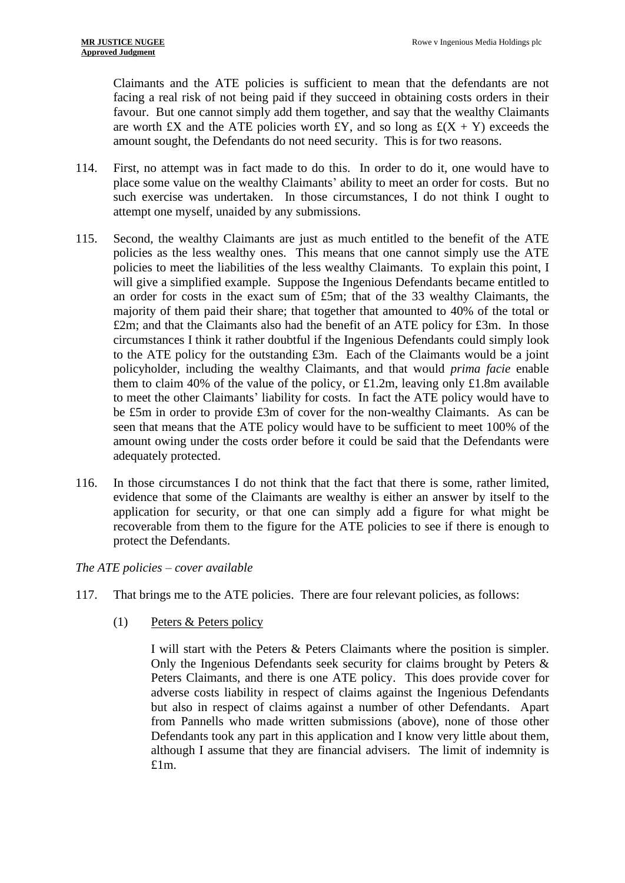Claimants and the ATE policies is sufficient to mean that the defendants are not facing a real risk of not being paid if they succeed in obtaining costs orders in their favour. But one cannot simply add them together, and say that the wealthy Claimants are worth £X and the ATE policies worth £Y, and so long as  $\mathcal{L}(X + Y)$  exceeds the amount sought, the Defendants do not need security. This is for two reasons.

- 114. First, no attempt was in fact made to do this. In order to do it, one would have to place some value on the wealthy Claimants' ability to meet an order for costs. But no such exercise was undertaken. In those circumstances, I do not think I ought to attempt one myself, unaided by any submissions.
- 115. Second, the wealthy Claimants are just as much entitled to the benefit of the ATE policies as the less wealthy ones. This means that one cannot simply use the ATE policies to meet the liabilities of the less wealthy Claimants. To explain this point, I will give a simplified example. Suppose the Ingenious Defendants became entitled to an order for costs in the exact sum of £5m; that of the 33 wealthy Claimants, the majority of them paid their share; that together that amounted to 40% of the total or £2m; and that the Claimants also had the benefit of an ATE policy for £3m. In those circumstances I think it rather doubtful if the Ingenious Defendants could simply look to the ATE policy for the outstanding £3m. Each of the Claimants would be a joint policyholder, including the wealthy Claimants, and that would *prima facie* enable them to claim 40% of the value of the policy, or £1.2m, leaving only £1.8m available to meet the other Claimants' liability for costs. In fact the ATE policy would have to be £5m in order to provide £3m of cover for the non-wealthy Claimants. As can be seen that means that the ATE policy would have to be sufficient to meet 100% of the amount owing under the costs order before it could be said that the Defendants were adequately protected.
- 116. In those circumstances I do not think that the fact that there is some, rather limited, evidence that some of the Claimants are wealthy is either an answer by itself to the application for security, or that one can simply add a figure for what might be recoverable from them to the figure for the ATE policies to see if there is enough to protect the Defendants.

## *The ATE policies – cover available*

- 117. That brings me to the ATE policies. There are four relevant policies, as follows:
	- (1) Peters & Peters policy

I will start with the Peters & Peters Claimants where the position is simpler. Only the Ingenious Defendants seek security for claims brought by Peters & Peters Claimants, and there is one ATE policy. This does provide cover for adverse costs liability in respect of claims against the Ingenious Defendants but also in respect of claims against a number of other Defendants. Apart from Pannells who made written submissions (above), none of those other Defendants took any part in this application and I know very little about them, although I assume that they are financial advisers. The limit of indemnity is £1m.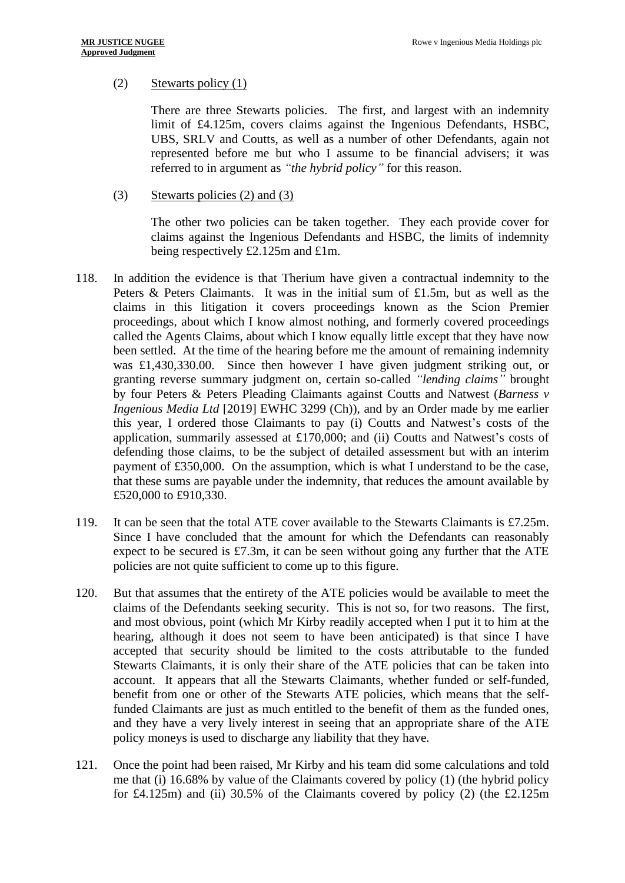## (2) Stewarts policy (1)

There are three Stewarts policies. The first, and largest with an indemnity limit of £4.125m, covers claims against the Ingenious Defendants, HSBC, UBS, SRLV and Coutts, as well as a number of other Defendants, again not represented before me but who I assume to be financial advisers; it was referred to in argument as *"the hybrid policy"* for this reason.

(3) Stewarts policies (2) and (3)

The other two policies can be taken together. They each provide cover for claims against the Ingenious Defendants and HSBC, the limits of indemnity being respectively £2.125m and £1m.

- 118. In addition the evidence is that Therium have given a contractual indemnity to the Peters & Peters Claimants. It was in the initial sum of £1.5m, but as well as the claims in this litigation it covers proceedings known as the Scion Premier proceedings, about which I know almost nothing, and formerly covered proceedings called the Agents Claims, about which I know equally little except that they have now been settled. At the time of the hearing before me the amount of remaining indemnity was £1,430,330.00. Since then however I have given judgment striking out, or granting reverse summary judgment on, certain so-called *"lending claims"* brought by four Peters & Peters Pleading Claimants against Coutts and Natwest (*Barness v Ingenious Media Ltd* [2019] EWHC 3299 (Ch)), and by an Order made by me earlier this year, I ordered those Claimants to pay (i) Coutts and Natwest's costs of the application, summarily assessed at £170,000; and (ii) Coutts and Natwest's costs of defending those claims, to be the subject of detailed assessment but with an interim payment of £350,000. On the assumption, which is what I understand to be the case, that these sums are payable under the indemnity, that reduces the amount available by £520,000 to £910,330.
- 119. It can be seen that the total ATE cover available to the Stewarts Claimants is £7.25m. Since I have concluded that the amount for which the Defendants can reasonably expect to be secured is  $£7.3m$ , it can be seen without going any further that the ATE policies are not quite sufficient to come up to this figure.
- 120. But that assumes that the entirety of the ATE policies would be available to meet the claims of the Defendants seeking security. This is not so, for two reasons. The first, and most obvious, point (which Mr Kirby readily accepted when I put it to him at the hearing, although it does not seem to have been anticipated) is that since I have accepted that security should be limited to the costs attributable to the funded Stewarts Claimants, it is only their share of the ATE policies that can be taken into account. It appears that all the Stewarts Claimants, whether funded or self-funded, benefit from one or other of the Stewarts ATE policies, which means that the selffunded Claimants are just as much entitled to the benefit of them as the funded ones, and they have a very lively interest in seeing that an appropriate share of the ATE policy moneys is used to discharge any liability that they have.
- 121. Once the point had been raised, Mr Kirby and his team did some calculations and told me that (i) 16.68% by value of the Claimants covered by policy (1) (the hybrid policy for £4.125m) and (ii) 30.5% of the Claimants covered by policy (2) (the  $£2.125m$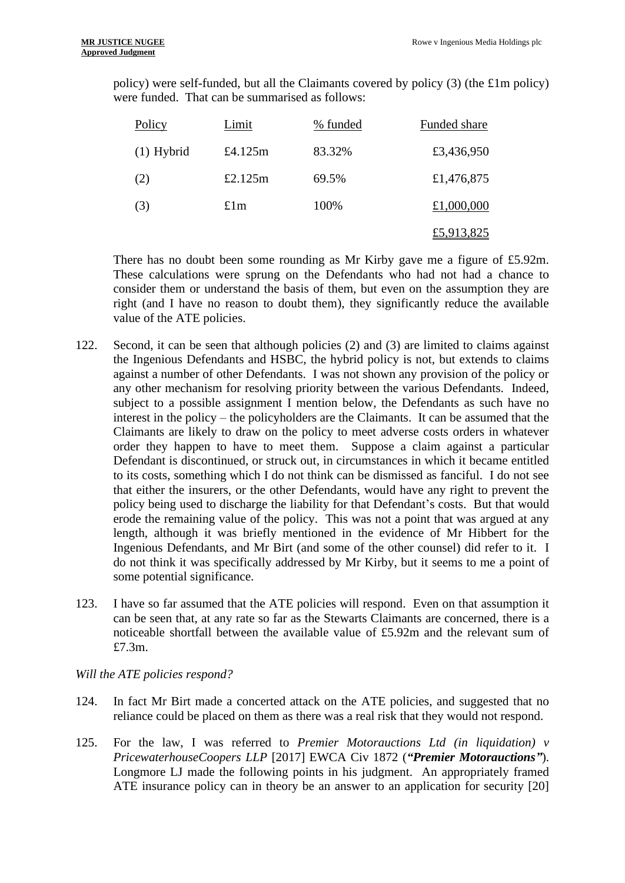policy) were self-funded, but all the Claimants covered by policy (3) (the £1m policy) were funded. That can be summarised as follows:

| Policy       | Limit      | % funded | Funded share |
|--------------|------------|----------|--------------|
| $(1)$ Hybrid | £4.125 $m$ | 83.32%   | £3,436,950   |
| (2)          | £2.125 $m$ | 69.5%    | £1,476,875   |
| (3)          | £1m        | 100%     | £1,000,000   |
|              |            |          | £5,913,825   |

There has no doubt been some rounding as Mr Kirby gave me a figure of £5.92m. These calculations were sprung on the Defendants who had not had a chance to consider them or understand the basis of them, but even on the assumption they are right (and I have no reason to doubt them), they significantly reduce the available value of the ATE policies.

- 122. Second, it can be seen that although policies (2) and (3) are limited to claims against the Ingenious Defendants and HSBC, the hybrid policy is not, but extends to claims against a number of other Defendants. I was not shown any provision of the policy or any other mechanism for resolving priority between the various Defendants. Indeed, subject to a possible assignment I mention below, the Defendants as such have no interest in the policy – the policyholders are the Claimants. It can be assumed that the Claimants are likely to draw on the policy to meet adverse costs orders in whatever order they happen to have to meet them. Suppose a claim against a particular Defendant is discontinued, or struck out, in circumstances in which it became entitled to its costs, something which I do not think can be dismissed as fanciful. I do not see that either the insurers, or the other Defendants, would have any right to prevent the policy being used to discharge the liability for that Defendant's costs. But that would erode the remaining value of the policy. This was not a point that was argued at any length, although it was briefly mentioned in the evidence of Mr Hibbert for the Ingenious Defendants, and Mr Birt (and some of the other counsel) did refer to it. I do not think it was specifically addressed by Mr Kirby, but it seems to me a point of some potential significance.
- 123. I have so far assumed that the ATE policies will respond. Even on that assumption it can be seen that, at any rate so far as the Stewarts Claimants are concerned, there is a noticeable shortfall between the available value of £5.92m and the relevant sum of £7.3m.

*Will the ATE policies respond?*

- 124. In fact Mr Birt made a concerted attack on the ATE policies, and suggested that no reliance could be placed on them as there was a real risk that they would not respond.
- 125. For the law, I was referred to *Premier Motorauctions Ltd (in liquidation) v PricewaterhouseCoopers LLP* [2017] EWCA Civ 1872 (*"Premier Motorauctions"*). Longmore LJ made the following points in his judgment. An appropriately framed ATE insurance policy can in theory be an answer to an application for security [20]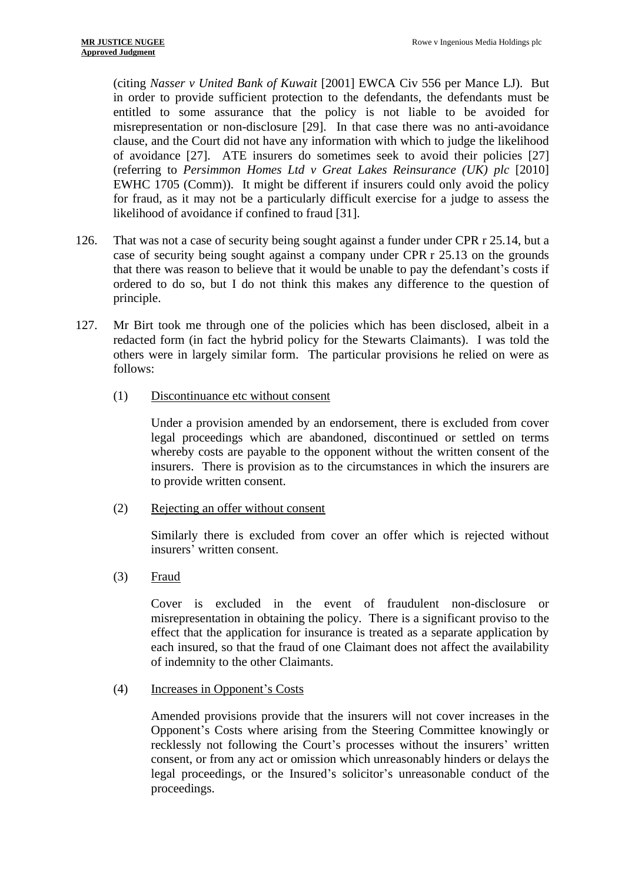(citing *Nasser v United Bank of Kuwait* [2001] EWCA Civ 556 per Mance LJ). But in order to provide sufficient protection to the defendants, the defendants must be entitled to some assurance that the policy is not liable to be avoided for misrepresentation or non-disclosure [29]. In that case there was no anti-avoidance clause, and the Court did not have any information with which to judge the likelihood of avoidance [27]. ATE insurers do sometimes seek to avoid their policies [27] (referring to *Persimmon Homes Ltd v Great Lakes Reinsurance (UK) plc* [2010] EWHC 1705 (Comm)). It might be different if insurers could only avoid the policy for fraud, as it may not be a particularly difficult exercise for a judge to assess the likelihood of avoidance if confined to fraud [31].

- 126. That was not a case of security being sought against a funder under CPR r 25.14, but a case of security being sought against a company under CPR r 25.13 on the grounds that there was reason to believe that it would be unable to pay the defendant's costs if ordered to do so, but I do not think this makes any difference to the question of principle.
- 127. Mr Birt took me through one of the policies which has been disclosed, albeit in a redacted form (in fact the hybrid policy for the Stewarts Claimants). I was told the others were in largely similar form. The particular provisions he relied on were as follows:
	- (1) Discontinuance etc without consent

Under a provision amended by an endorsement, there is excluded from cover legal proceedings which are abandoned, discontinued or settled on terms whereby costs are payable to the opponent without the written consent of the insurers. There is provision as to the circumstances in which the insurers are to provide written consent.

(2) Rejecting an offer without consent

Similarly there is excluded from cover an offer which is rejected without insurers' written consent.

 $(3)$  Fraud

Cover is excluded in the event of fraudulent non-disclosure or misrepresentation in obtaining the policy. There is a significant proviso to the effect that the application for insurance is treated as a separate application by each insured, so that the fraud of one Claimant does not affect the availability of indemnity to the other Claimants.

(4) Increases in Opponent's Costs

Amended provisions provide that the insurers will not cover increases in the Opponent's Costs where arising from the Steering Committee knowingly or recklessly not following the Court's processes without the insurers' written consent, or from any act or omission which unreasonably hinders or delays the legal proceedings, or the Insured's solicitor's unreasonable conduct of the proceedings.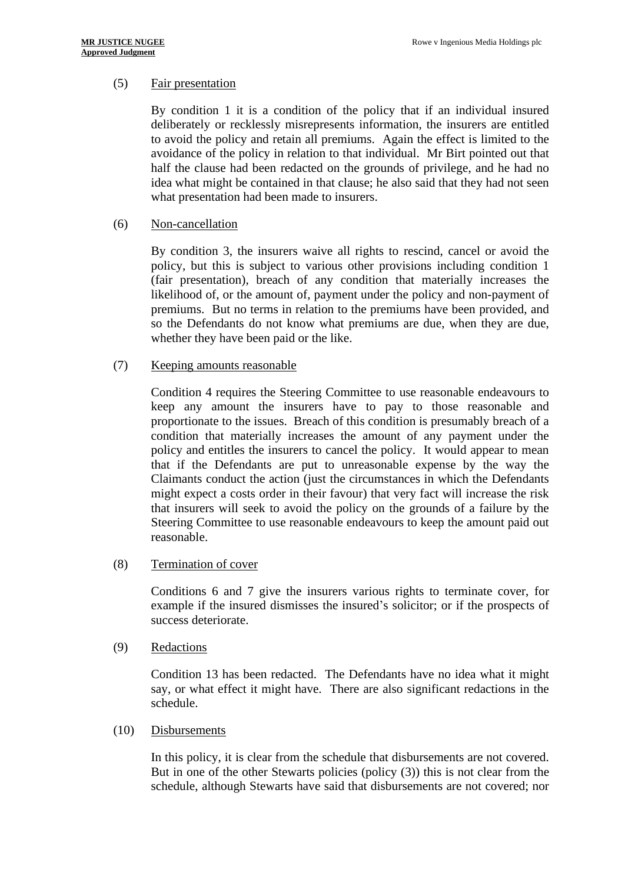# (5) Fair presentation

By condition 1 it is a condition of the policy that if an individual insured deliberately or recklessly misrepresents information, the insurers are entitled to avoid the policy and retain all premiums. Again the effect is limited to the avoidance of the policy in relation to that individual. Mr Birt pointed out that half the clause had been redacted on the grounds of privilege, and he had no idea what might be contained in that clause; he also said that they had not seen what presentation had been made to insurers.

## (6) Non-cancellation

By condition 3, the insurers waive all rights to rescind, cancel or avoid the policy, but this is subject to various other provisions including condition 1 (fair presentation), breach of any condition that materially increases the likelihood of, or the amount of, payment under the policy and non-payment of premiums. But no terms in relation to the premiums have been provided, and so the Defendants do not know what premiums are due, when they are due, whether they have been paid or the like.

## (7) Keeping amounts reasonable

Condition 4 requires the Steering Committee to use reasonable endeavours to keep any amount the insurers have to pay to those reasonable and proportionate to the issues. Breach of this condition is presumably breach of a condition that materially increases the amount of any payment under the policy and entitles the insurers to cancel the policy. It would appear to mean that if the Defendants are put to unreasonable expense by the way the Claimants conduct the action (just the circumstances in which the Defendants might expect a costs order in their favour) that very fact will increase the risk that insurers will seek to avoid the policy on the grounds of a failure by the Steering Committee to use reasonable endeavours to keep the amount paid out reasonable.

## (8) Termination of cover

Conditions 6 and 7 give the insurers various rights to terminate cover, for example if the insured dismisses the insured's solicitor; or if the prospects of success deteriorate.

(9) Redactions

Condition 13 has been redacted. The Defendants have no idea what it might say, or what effect it might have. There are also significant redactions in the schedule.

## (10) Disbursements

In this policy, it is clear from the schedule that disbursements are not covered. But in one of the other Stewarts policies (policy (3)) this is not clear from the schedule, although Stewarts have said that disbursements are not covered; nor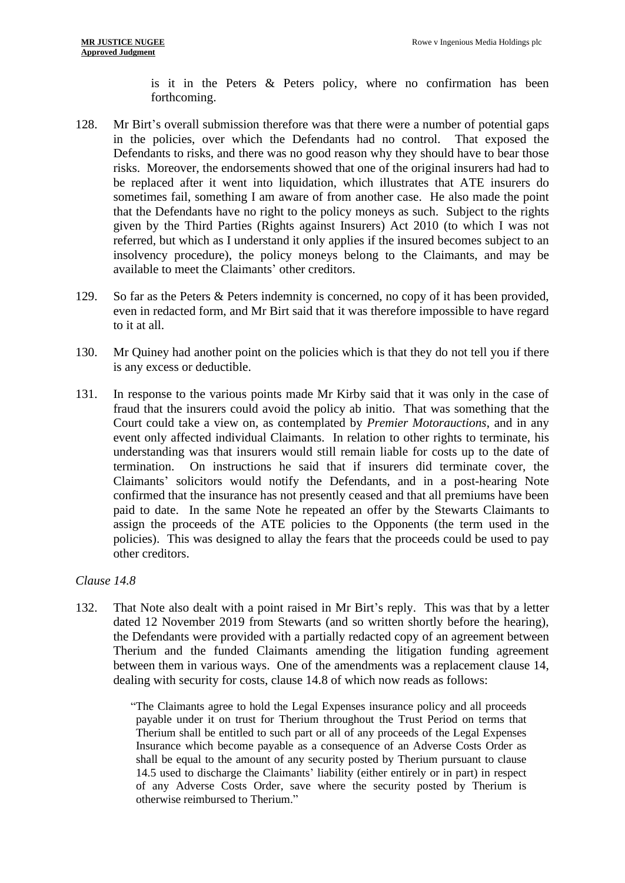is it in the Peters & Peters policy, where no confirmation has been forthcoming.

- 128. Mr Birt's overall submission therefore was that there were a number of potential gaps in the policies, over which the Defendants had no control. That exposed the Defendants to risks, and there was no good reason why they should have to bear those risks. Moreover, the endorsements showed that one of the original insurers had had to be replaced after it went into liquidation, which illustrates that ATE insurers do sometimes fail, something I am aware of from another case. He also made the point that the Defendants have no right to the policy moneys as such. Subject to the rights given by the Third Parties (Rights against Insurers) Act 2010 (to which I was not referred, but which as I understand it only applies if the insured becomes subject to an insolvency procedure), the policy moneys belong to the Claimants, and may be available to meet the Claimants' other creditors.
- 129. So far as the Peters & Peters indemnity is concerned, no copy of it has been provided, even in redacted form, and Mr Birt said that it was therefore impossible to have regard to it at all.
- 130. Mr Quiney had another point on the policies which is that they do not tell you if there is any excess or deductible.
- 131. In response to the various points made Mr Kirby said that it was only in the case of fraud that the insurers could avoid the policy ab initio. That was something that the Court could take a view on, as contemplated by *Premier Motorauctions*, and in any event only affected individual Claimants. In relation to other rights to terminate, his understanding was that insurers would still remain liable for costs up to the date of termination. On instructions he said that if insurers did terminate cover, the Claimants' solicitors would notify the Defendants, and in a post-hearing Note confirmed that the insurance has not presently ceased and that all premiums have been paid to date. In the same Note he repeated an offer by the Stewarts Claimants to assign the proceeds of the ATE policies to the Opponents (the term used in the policies). This was designed to allay the fears that the proceeds could be used to pay other creditors.

# *Clause 14.8*

132. That Note also dealt with a point raised in Mr Birt's reply. This was that by a letter dated 12 November 2019 from Stewarts (and so written shortly before the hearing), the Defendants were provided with a partially redacted copy of an agreement between Therium and the funded Claimants amending the litigation funding agreement between them in various ways. One of the amendments was a replacement clause 14, dealing with security for costs, clause 14.8 of which now reads as follows:

<sup>&</sup>quot;The Claimants agree to hold the Legal Expenses insurance policy and all proceeds payable under it on trust for Therium throughout the Trust Period on terms that Therium shall be entitled to such part or all of any proceeds of the Legal Expenses Insurance which become payable as a consequence of an Adverse Costs Order as shall be equal to the amount of any security posted by Therium pursuant to clause 14.5 used to discharge the Claimants' liability (either entirely or in part) in respect of any Adverse Costs Order, save where the security posted by Therium is otherwise reimbursed to Therium."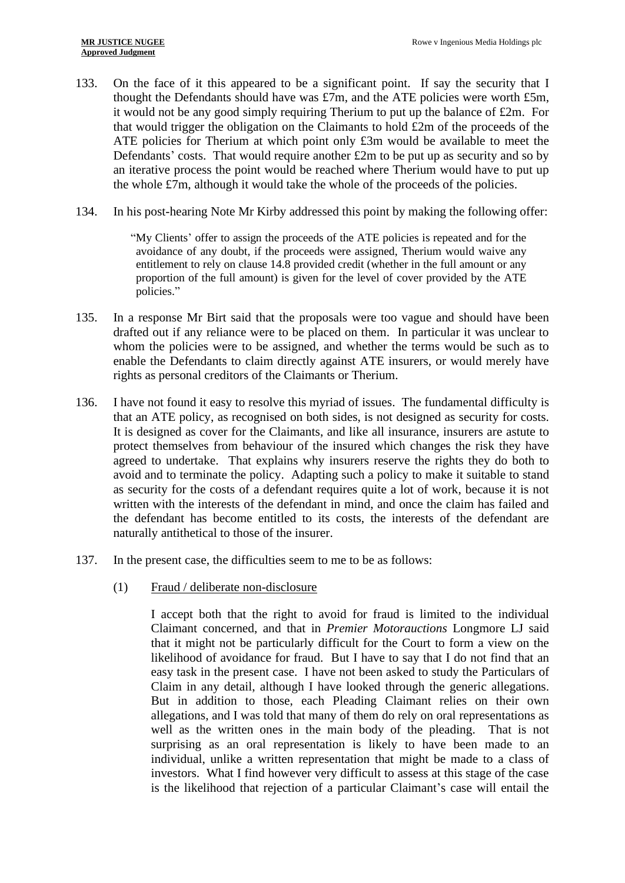- 133. On the face of it this appeared to be a significant point. If say the security that I thought the Defendants should have was  $£7m$ , and the ATE policies were worth £5m, it would not be any good simply requiring Therium to put up the balance of £2m. For that would trigger the obligation on the Claimants to hold £2m of the proceeds of the ATE policies for Therium at which point only £3m would be available to meet the Defendants' costs. That would require another £2m to be put up as security and so by an iterative process the point would be reached where Therium would have to put up the whole £7m, although it would take the whole of the proceeds of the policies.
- 134. In his post-hearing Note Mr Kirby addressed this point by making the following offer:

"My Clients' offer to assign the proceeds of the ATE policies is repeated and for the avoidance of any doubt, if the proceeds were assigned, Therium would waive any entitlement to rely on clause 14.8 provided credit (whether in the full amount or any proportion of the full amount) is given for the level of cover provided by the ATE policies."

- 135. In a response Mr Birt said that the proposals were too vague and should have been drafted out if any reliance were to be placed on them. In particular it was unclear to whom the policies were to be assigned, and whether the terms would be such as to enable the Defendants to claim directly against ATE insurers, or would merely have rights as personal creditors of the Claimants or Therium.
- 136. I have not found it easy to resolve this myriad of issues. The fundamental difficulty is that an ATE policy, as recognised on both sides, is not designed as security for costs. It is designed as cover for the Claimants, and like all insurance, insurers are astute to protect themselves from behaviour of the insured which changes the risk they have agreed to undertake. That explains why insurers reserve the rights they do both to avoid and to terminate the policy. Adapting such a policy to make it suitable to stand as security for the costs of a defendant requires quite a lot of work, because it is not written with the interests of the defendant in mind, and once the claim has failed and the defendant has become entitled to its costs, the interests of the defendant are naturally antithetical to those of the insurer.
- 137. In the present case, the difficulties seem to me to be as follows:
	- (1) Fraud / deliberate non-disclosure

I accept both that the right to avoid for fraud is limited to the individual Claimant concerned, and that in *Premier Motorauctions* Longmore LJ said that it might not be particularly difficult for the Court to form a view on the likelihood of avoidance for fraud. But I have to say that I do not find that an easy task in the present case. I have not been asked to study the Particulars of Claim in any detail, although I have looked through the generic allegations. But in addition to those, each Pleading Claimant relies on their own allegations, and I was told that many of them do rely on oral representations as well as the written ones in the main body of the pleading. That is not surprising as an oral representation is likely to have been made to an individual, unlike a written representation that might be made to a class of investors. What I find however very difficult to assess at this stage of the case is the likelihood that rejection of a particular Claimant's case will entail the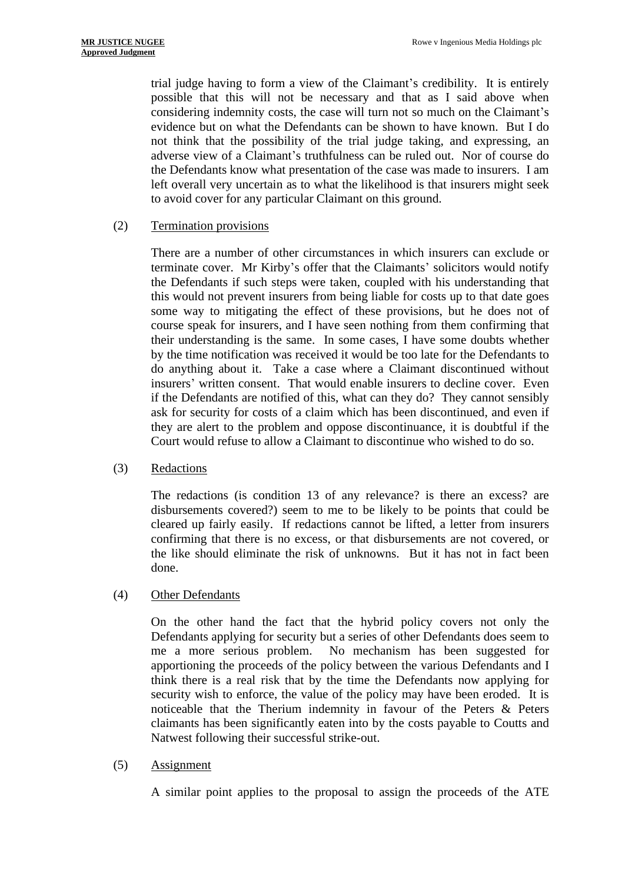trial judge having to form a view of the Claimant's credibility. It is entirely possible that this will not be necessary and that as I said above when considering indemnity costs, the case will turn not so much on the Claimant's evidence but on what the Defendants can be shown to have known. But I do not think that the possibility of the trial judge taking, and expressing, an adverse view of a Claimant's truthfulness can be ruled out. Nor of course do the Defendants know what presentation of the case was made to insurers. I am left overall very uncertain as to what the likelihood is that insurers might seek to avoid cover for any particular Claimant on this ground.

## (2) Termination provisions

There are a number of other circumstances in which insurers can exclude or terminate cover. Mr Kirby's offer that the Claimants' solicitors would notify the Defendants if such steps were taken, coupled with his understanding that this would not prevent insurers from being liable for costs up to that date goes some way to mitigating the effect of these provisions, but he does not of course speak for insurers, and I have seen nothing from them confirming that their understanding is the same. In some cases, I have some doubts whether by the time notification was received it would be too late for the Defendants to do anything about it. Take a case where a Claimant discontinued without insurers' written consent. That would enable insurers to decline cover. Even if the Defendants are notified of this, what can they do? They cannot sensibly ask for security for costs of a claim which has been discontinued, and even if they are alert to the problem and oppose discontinuance, it is doubtful if the Court would refuse to allow a Claimant to discontinue who wished to do so.

## (3) Redactions

The redactions (is condition 13 of any relevance? is there an excess? are disbursements covered?) seem to me to be likely to be points that could be cleared up fairly easily. If redactions cannot be lifted, a letter from insurers confirming that there is no excess, or that disbursements are not covered, or the like should eliminate the risk of unknowns. But it has not in fact been done.

# (4) Other Defendants

On the other hand the fact that the hybrid policy covers not only the Defendants applying for security but a series of other Defendants does seem to me a more serious problem. No mechanism has been suggested for apportioning the proceeds of the policy between the various Defendants and I think there is a real risk that by the time the Defendants now applying for security wish to enforce, the value of the policy may have been eroded. It is noticeable that the Therium indemnity in favour of the Peters & Peters claimants has been significantly eaten into by the costs payable to Coutts and Natwest following their successful strike-out.

## (5) Assignment

A similar point applies to the proposal to assign the proceeds of the ATE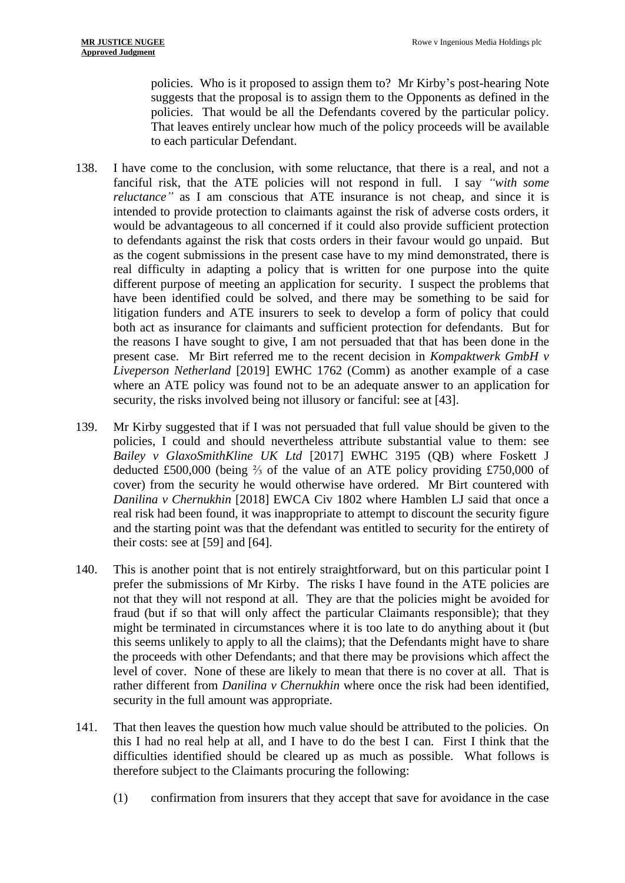policies. Who is it proposed to assign them to? Mr Kirby's post-hearing Note suggests that the proposal is to assign them to the Opponents as defined in the policies. That would be all the Defendants covered by the particular policy. That leaves entirely unclear how much of the policy proceeds will be available to each particular Defendant.

- 138. I have come to the conclusion, with some reluctance, that there is a real, and not a fanciful risk, that the ATE policies will not respond in full. I say *"with some reluctance*" as I am conscious that ATE insurance is not cheap, and since it is intended to provide protection to claimants against the risk of adverse costs orders, it would be advantageous to all concerned if it could also provide sufficient protection to defendants against the risk that costs orders in their favour would go unpaid. But as the cogent submissions in the present case have to my mind demonstrated, there is real difficulty in adapting a policy that is written for one purpose into the quite different purpose of meeting an application for security. I suspect the problems that have been identified could be solved, and there may be something to be said for litigation funders and ATE insurers to seek to develop a form of policy that could both act as insurance for claimants and sufficient protection for defendants. But for the reasons I have sought to give, I am not persuaded that that has been done in the present case. Mr Birt referred me to the recent decision in *Kompaktwerk GmbH v Liveperson Netherland* [2019] EWHC 1762 (Comm) as another example of a case where an ATE policy was found not to be an adequate answer to an application for security, the risks involved being not illusory or fanciful: see at [43].
- 139. Mr Kirby suggested that if I was not persuaded that full value should be given to the policies, I could and should nevertheless attribute substantial value to them: see *Bailey v GlaxoSmithKline UK Ltd* [2017] EWHC 3195 (QB) where Foskett J deducted £500,000 (being ⅔ of the value of an ATE policy providing £750,000 of cover) from the security he would otherwise have ordered. Mr Birt countered with *Danilina v Chernukhin* [2018] EWCA Civ 1802 where Hamblen LJ said that once a real risk had been found, it was inappropriate to attempt to discount the security figure and the starting point was that the defendant was entitled to security for the entirety of their costs: see at [59] and [64].
- 140. This is another point that is not entirely straightforward, but on this particular point I prefer the submissions of Mr Kirby. The risks I have found in the ATE policies are not that they will not respond at all. They are that the policies might be avoided for fraud (but if so that will only affect the particular Claimants responsible); that they might be terminated in circumstances where it is too late to do anything about it (but this seems unlikely to apply to all the claims); that the Defendants might have to share the proceeds with other Defendants; and that there may be provisions which affect the level of cover. None of these are likely to mean that there is no cover at all. That is rather different from *Danilina v Chernukhin* where once the risk had been identified, security in the full amount was appropriate.
- 141. That then leaves the question how much value should be attributed to the policies. On this I had no real help at all, and I have to do the best I can. First I think that the difficulties identified should be cleared up as much as possible. What follows is therefore subject to the Claimants procuring the following:
	- (1) confirmation from insurers that they accept that save for avoidance in the case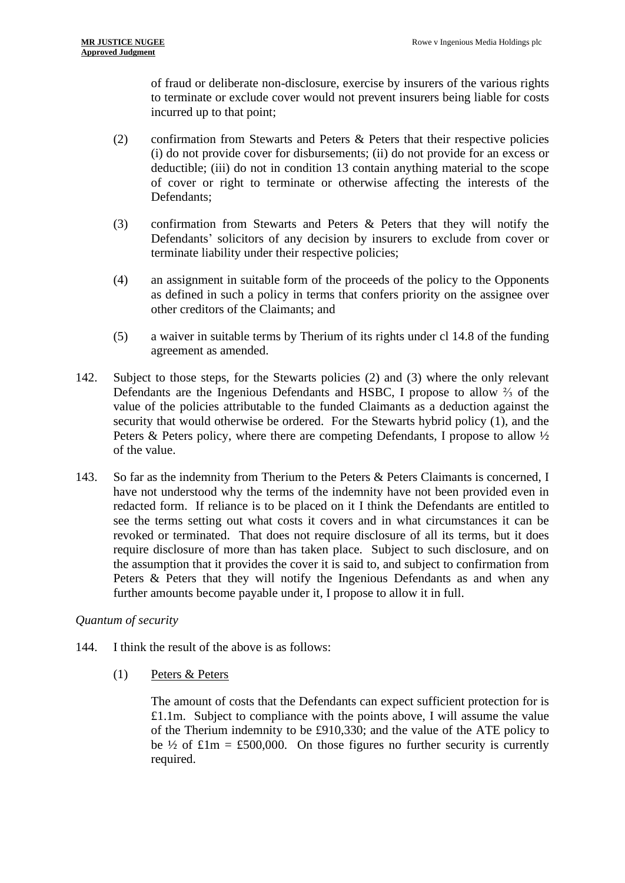of fraud or deliberate non-disclosure, exercise by insurers of the various rights to terminate or exclude cover would not prevent insurers being liable for costs incurred up to that point;

- (2) confirmation from Stewarts and Peters & Peters that their respective policies (i) do not provide cover for disbursements; (ii) do not provide for an excess or deductible; (iii) do not in condition 13 contain anything material to the scope of cover or right to terminate or otherwise affecting the interests of the Defendants;
- (3) confirmation from Stewarts and Peters & Peters that they will notify the Defendants' solicitors of any decision by insurers to exclude from cover or terminate liability under their respective policies;
- (4) an assignment in suitable form of the proceeds of the policy to the Opponents as defined in such a policy in terms that confers priority on the assignee over other creditors of the Claimants; and
- (5) a waiver in suitable terms by Therium of its rights under cl 14.8 of the funding agreement as amended.
- 142. Subject to those steps, for the Stewarts policies (2) and (3) where the only relevant Defendants are the Ingenious Defendants and HSBC, I propose to allow ⅔ of the value of the policies attributable to the funded Claimants as a deduction against the security that would otherwise be ordered. For the Stewarts hybrid policy (1), and the Peters & Peters policy, where there are competing Defendants, I propose to allow ½ of the value.
- 143. So far as the indemnity from Therium to the Peters & Peters Claimants is concerned, I have not understood why the terms of the indemnity have not been provided even in redacted form. If reliance is to be placed on it I think the Defendants are entitled to see the terms setting out what costs it covers and in what circumstances it can be revoked or terminated. That does not require disclosure of all its terms, but it does require disclosure of more than has taken place. Subject to such disclosure, and on the assumption that it provides the cover it is said to, and subject to confirmation from Peters & Peters that they will notify the Ingenious Defendants as and when any further amounts become payable under it, I propose to allow it in full.

# *Quantum of security*

- 144. I think the result of the above is as follows:
	- (1) Peters & Peters

The amount of costs that the Defendants can expect sufficient protection for is £1.1m. Subject to compliance with the points above, I will assume the value of the Therium indemnity to be £910,330; and the value of the ATE policy to be  $\frac{1}{2}$  of £1m = £500,000. On those figures no further security is currently required.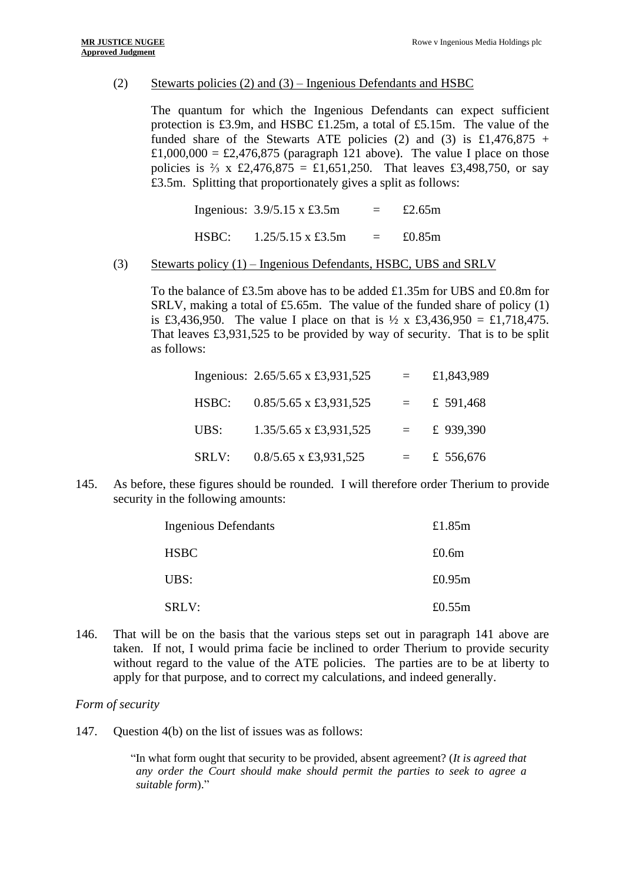## (2) Stewarts policies (2) and (3) – Ingenious Defendants and HSBC

The quantum for which the Ingenious Defendants can expect sufficient protection is £3.9m, and HSBC £1.25m, a total of £5.15m. The value of the funded share of the Stewarts ATE policies (2) and (3) is £1,476,875 + £1,000,000 = £2,476,875 (paragraph 121 above). The value I place on those policies is  $\frac{2}{3}$  x £2,476,875 = £1,651,250. That leaves £3,498,750, or say £3.5m. Splitting that proportionately gives a split as follows:

|       | Ingenious: $3.9/5.15 \times £3.5m$    | $\equiv$ | £2.65m    |
|-------|---------------------------------------|----------|-----------|
| HSBC: | $1.25/5.15 \times \text{\pounds}3.5m$ | $=$ $-$  | £0.85 $m$ |

#### (3) Stewarts policy (1) – Ingenious Defendants, HSBC, UBS and SRLV

To the balance of £3.5m above has to be added £1.35m for UBS and £0.8m for SRLV, making a total of £5.65m. The value of the funded share of policy (1) is £3,436,950. The value I place on that is  $\frac{1}{2}$  x £3,436,950 = £1,718,475. That leaves £3,931,525 to be provided by way of security. That is to be split as follows:

|       | Ingenious: 2.65/5.65 x £3,931,525          | $=$ | £1,843,989 |
|-------|--------------------------------------------|-----|------------|
| HSBC: | $0.85/5.65 \times \text{\pounds}3.931,525$ | $=$ | £ 591,468  |
| UBS:  | 1.35/5.65 x £3,931,525                     |     | £ 939,390  |
| SRLV: | $0.8/5.65$ x £3,931,525                    |     | £ 556,676  |

145. As before, these figures should be rounded. I will therefore order Therium to provide security in the following amounts:

| <b>Ingenious Defendants</b> | £1.85 $m$ |
|-----------------------------|-----------|
| <b>HSBC</b>                 | £0.6m     |
| UBS:                        | £0.95 $m$ |
| SRLV:                       | £0.55 $m$ |

146. That will be on the basis that the various steps set out in paragraph 141 above are taken. If not, I would prima facie be inclined to order Therium to provide security without regard to the value of the ATE policies. The parties are to be at liberty to apply for that purpose, and to correct my calculations, and indeed generally.

#### *Form of security*

147. Question 4(b) on the list of issues was as follows:

"In what form ought that security to be provided, absent agreement? (*It is agreed that any order the Court should make should permit the parties to seek to agree a suitable form*)."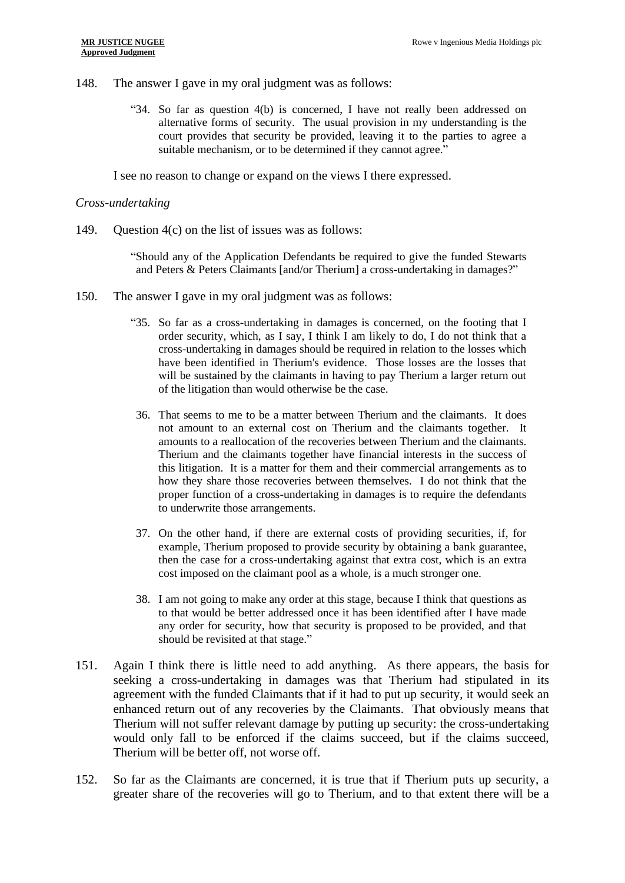- 148. The answer I gave in my oral judgment was as follows:
	- "34. So far as question 4(b) is concerned, I have not really been addressed on alternative forms of security. The usual provision in my understanding is the court provides that security be provided, leaving it to the parties to agree a suitable mechanism, or to be determined if they cannot agree."

I see no reason to change or expand on the views I there expressed.

#### *Cross-undertaking*

149. Question 4(c) on the list of issues was as follows:

"Should any of the Application Defendants be required to give the funded Stewarts and Peters & Peters Claimants [and/or Therium] a cross-undertaking in damages?"

- 150. The answer I gave in my oral judgment was as follows:
	- "35. So far as a cross-undertaking in damages is concerned, on the footing that I order security, which, as I say, I think I am likely to do, I do not think that a cross-undertaking in damages should be required in relation to the losses which have been identified in Therium's evidence. Those losses are the losses that will be sustained by the claimants in having to pay Therium a larger return out of the litigation than would otherwise be the case.
	- 36. That seems to me to be a matter between Therium and the claimants. It does not amount to an external cost on Therium and the claimants together. It amounts to a reallocation of the recoveries between Therium and the claimants. Therium and the claimants together have financial interests in the success of this litigation. It is a matter for them and their commercial arrangements as to how they share those recoveries between themselves. I do not think that the proper function of a cross-undertaking in damages is to require the defendants to underwrite those arrangements.
	- 37. On the other hand, if there are external costs of providing securities, if, for example, Therium proposed to provide security by obtaining a bank guarantee, then the case for a cross-undertaking against that extra cost, which is an extra cost imposed on the claimant pool as a whole, is a much stronger one.
	- 38. I am not going to make any order at this stage, because I think that questions as to that would be better addressed once it has been identified after I have made any order for security, how that security is proposed to be provided, and that should be revisited at that stage."
- 151. Again I think there is little need to add anything. As there appears, the basis for seeking a cross-undertaking in damages was that Therium had stipulated in its agreement with the funded Claimants that if it had to put up security, it would seek an enhanced return out of any recoveries by the Claimants. That obviously means that Therium will not suffer relevant damage by putting up security: the cross-undertaking would only fall to be enforced if the claims succeed, but if the claims succeed, Therium will be better off, not worse off.
- 152. So far as the Claimants are concerned, it is true that if Therium puts up security, a greater share of the recoveries will go to Therium, and to that extent there will be a